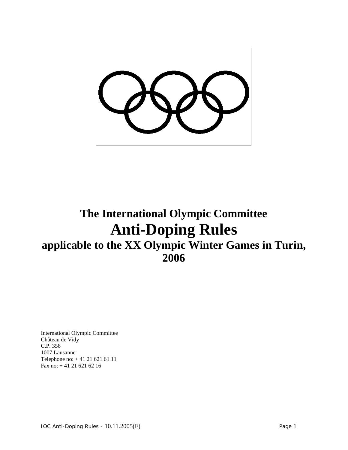# **The International Olympic Committee Anti-Doping Rules applicable to the XX Olympic Winter Games in Turin, 2006**

International Olympic Committee Château de Vidy C.P. 356 1007 Lausanne Telephone no: + 41 21 621 61 11 Fax no: + 41 21 621 62 16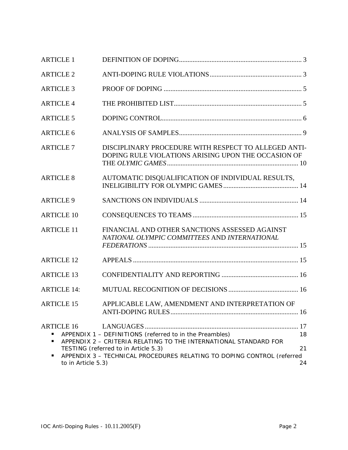| <b>ARTICLE 1</b>                                  |                                                                                                                                                                                                                                               |                |
|---------------------------------------------------|-----------------------------------------------------------------------------------------------------------------------------------------------------------------------------------------------------------------------------------------------|----------------|
| <b>ARTICLE 2</b>                                  |                                                                                                                                                                                                                                               |                |
| <b>ARTICLE 3</b>                                  |                                                                                                                                                                                                                                               |                |
| <b>ARTICLE 4</b>                                  |                                                                                                                                                                                                                                               |                |
| <b>ARTICLE 5</b>                                  |                                                                                                                                                                                                                                               |                |
| <b>ARTICLE 6</b>                                  |                                                                                                                                                                                                                                               |                |
| <b>ARTICLE 7</b>                                  | DISCIPLINARY PROCEDURE WITH RESPECT TO ALLEGED ANTI-<br>DOPING RULE VIOLATIONS ARISING UPON THE OCCASION OF                                                                                                                                   |                |
| <b>ARTICLE 8</b>                                  | AUTOMATIC DISQUALIFICATION OF INDIVIDUAL RESULTS,                                                                                                                                                                                             |                |
| <b>ARTICLE 9</b>                                  |                                                                                                                                                                                                                                               |                |
| <b>ARTICLE 10</b>                                 |                                                                                                                                                                                                                                               |                |
| <b>ARTICLE 11</b>                                 | FINANCIAL AND OTHER SANCTIONS ASSESSED AGAINST<br>NATIONAL OLYMPIC COMMITTEES AND INTERNATIONAL                                                                                                                                               |                |
| <b>ARTICLE 12</b>                                 |                                                                                                                                                                                                                                               |                |
| <b>ARTICLE 13</b>                                 |                                                                                                                                                                                                                                               |                |
| <b>ARTICLE 14:</b>                                |                                                                                                                                                                                                                                               |                |
| <b>ARTICLE 15</b>                                 | APPLICABLE LAW, AMENDMENT AND INTERPRETATION OF                                                                                                                                                                                               |                |
| <b>ARTICLE 16</b><br>٠<br>٠<br>to in Article 5.3) | APPENDIX 1 - DEFINITIONS (referred to in the Preambles)<br>APPENDIX 2 - CRITERIA RELATING TO THE INTERNATIONAL STANDARD FOR<br>TESTING (referred to in Article 5.3)<br>APPENDIX 3 - TECHNICAL PROCEDURES RELATING TO DOPING CONTROL (referred | 18<br>21<br>24 |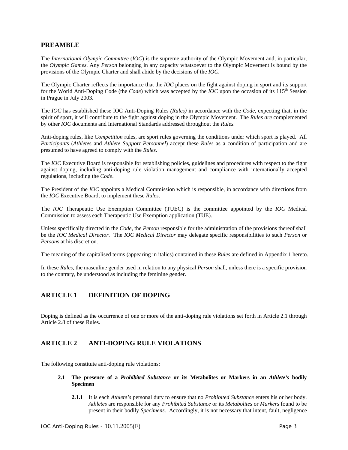# **PREAMBLE**

The *International Olympic Committee* (*IOC*) is the supreme authority of the Olympic Movement and, in particular, the *Olympic Games*. Any *Person* belonging in any capacity whatsoever to the Olympic Movement is bound by the provisions of the Olympic Charter and shall abide by the decisions of the *IOC*.

The Olympic Charter reflects the importance that the *IOC* places on the fight against doping in sport and its support for the World Anti-Doping Code (the *Code*) which was accepted by the *IOC* upon the occasion of its 115<sup>th</sup> Session in Prague in July 2003.

The *IOC* has established these IOC Anti-Doping Rules *(Rules)* in accordance with the *Code*, expecting that, in the spirit of sport, it will contribute to the fight against doping in the Olympic Movement. The *Rules are* complemented by other *IOC* documents and International Standards addressed throughout the *Rules.*

Anti-doping rules, like *Competition* rules, are sport rules governing the conditions under which sport is played. All *Participant*s (*Athlete*s and *Athlete Support Personnel*) accept these *Rules* as a condition of participation and are presumed to have agreed to comply with the *Rules*.

The *IOC* Executive Board is responsible for establishing policies, guidelines and procedures with respect to the fight against doping, including anti-doping rule violation management and compliance with internationally accepted regulations, including the *Code*.

The President of the *IOC* appoints a Medical Commission which is responsible, in accordance with directions from the *IOC* Executive Board, to implement these *Rules*.

The *IOC* Therapeutic Use Exemption Committee (TUEC) is the committee appointed by the *IOC* Medical Commission to assess each Therapeutic Use Exemption application (TUE).

Unless specifically directed in the *Code*, the *Person* responsible for the administration of the provisions thereof shall be the *IOC Medical Director*. The *IOC Medical Director* may delegate specific responsibilities to such *Person* or *Person*s at his discretion.

The meaning of the capitalised terms (appearing in italics) contained in these *Rules* are defined in Appendix 1 hereto.

In these *Rules*, the masculine gender used in relation to any physical *Person* shall, unless there is a specific provision to the contrary, be understood as including the feminine gender.

# **ARTICLE 1 DEFINITION OF DOPING**

Doping is defined as the occurrence of one or more of the anti-doping rule violations set forth in Article 2.1 through Article 2.8 of these Rules.

# **ARTICLE 2 ANTI-DOPING RULE VIOLATIONS**

The following constitute anti-doping rule violations:

### **2.1 The presence of a** *Prohibited Substance* **or its Metabolites or Markers in an** *Athlete's* **bodily Specimen**

**2.1.1** It is each *Athlete's* personal duty to ensure that no *Prohibited Substance* enters his or her body. *Athletes* are responsible for any *Prohibited Substance* or its *Metabolites* or *Markers* found to be present in their bodily *Specimens*. Accordingly, it is not necessary that intent, fault, negligence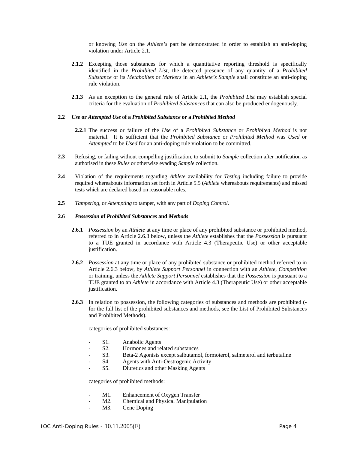or knowing *Use* on the *Athlete's* part be demonstrated in order to establish an anti-doping violation under Article 2.1.

- **2.1.2** Excepting those substances for which a quantitative reporting threshold is specifically identified in the *Prohibited List*, the detected presence of any quantity of a *Prohibited Substance* or its *Metabolites* or *Markers* in an *Athlete's Sample* shall constitute an anti-doping rule violation.
- **2.1.3** As an exception to the general rule of Article 2.1, the *Prohibited List* may establish special criteria for the evaluation of *Prohibited Substances* that can also be produced endogenously.

### **2.2** *Use* **or** *Attempted Use* **of a** *Prohibited Substance* **or a** *Prohibited Method*

- **2.2.1** The success or failure of the *Use* of a *Prohibited Substance* or *Prohibited Method* is not material. It is sufficient that the *Prohibited Substance* or *Prohibited Method* was *Used* or *Attempted* to be *Used* for an anti-doping rule violation to be committed.
- **2.3** Refusing, or failing without compelling justification, to submit to *Sample* collection after notification as authorised in these *Rules* or otherwise evading *Sample* collection.
- **2.4** Violation of the requirements regarding *Athlete* availability for *Testing* including failure to provide required whereabouts information set forth in Article 5.5 (*Athlete* whereabouts requirements) and missed tests which are declared based on reasonable rules.
- **2.5** *Tampering*, or *Attempting* to tamper, with any part of *Doping Control*.

### **2.6** *Possession* **of** *Prohibited Substances* **and** *Methods*

- **2.6.1** *Possession* by an *Athlete* at any time or place of any prohibited substance or prohibited method, referred to in Article 2.6.3 below, unless the *Athlete* establishes that the *Possession* is pursuant to a TUE granted in accordance with Article 4.3 (Therapeutic Use) or other acceptable justification.
- **2.6.2** *Possession* at any time or place of any prohibited substance or prohibited method referred to in Article 2.6.3 below, by *Athlete Support Personnel* in connection with an *Athlete*, *Competition* or training, unless the *Athlete Support Personnel* establishes that the *Possession* is pursuant to a TUE granted to an *Athlete* in accordance with Article 4.3 (Therapeutic Use) or other acceptable justification.
- **2.6.3** In relation to possession, the following categories of substances and methods are prohibited ( for the full list of the prohibited substances and methods, see the List of Prohibited Substances and Prohibited Methods).

categories of prohibited substances:

- S1. Anabolic Agents
- S2. Hormones and related substances
- S3. Beta-2 Agonists except salbutamol, formoterol, salmeterol and terbutaline
- S4. Agents with Anti-Oestrogenic Activity
- S5. Diuretics and other Masking Agents

categories of prohibited methods:

- M1. Enhancement of Oxygen Transfer
- M2. Chemical and Physical Manipulation
- M3. Gene Doping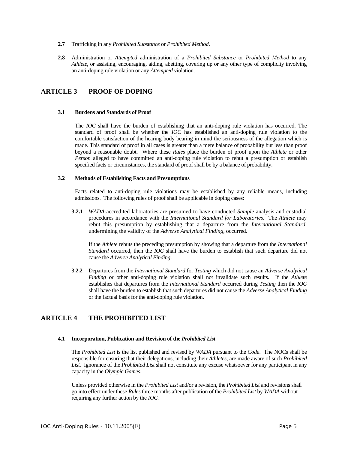- **2.7** Trafficking in any *Prohibited Substance* or *Prohibited Method*.
- **2.8** Administration or *Attempted* administration of a *Prohibited Substance* or *Prohibited Method* to any *Athlete*, or assisting, encouraging, aiding, abetting, covering up or any other type of complicity involving an anti-doping rule violation or any *Attempted* violation.

# **ARTICLE 3 PROOF OF DOPING**

#### **3.1 Burdens and Standards of Proof**

The *IOC* shall have the burden of establishing that an anti-doping rule violation has occurred. The standard of proof shall be whether the *IOC* has established an anti-doping rule violation to the comfortable satisfaction of the hearing body bearing in mind the seriousness of the allegation which is made. This standard of proof in all cases is greater than a mere balance of probability but less than proof beyond a reasonable doubt. Where these *Rules* place the burden of proof upon the *Athlete* or other *Person* alleged to have committed an anti-doping rule violation to rebut a presumption or establish specified facts or circumstances, the standard of proof shall be by a balance of probability.

### **3.2 Methods of Establishing Facts and Presumptions**

Facts related to anti-doping rule violations may be established by any reliable means, including admissions. The following rules of proof shall be applicable in doping cases:

**3.2.1** *WADA*-accredited laboratories are presumed to have conducted *Sample* analysis and custodial procedures in accordance with the *International Standard for Laboratories*. The *Athlete* may rebut this presumption by establishing that a departure from the *International Standard,* undermining the validity of the *Adverse Analytical Finding*, occurred.

If the *Athlete* rebuts the preceding presumption by showing that a departure from the *International Standard* occurred, then the *IOC* shall have the burden to establish that such departure did not cause the *Adverse Analytical Finding*.

**3.2.2** Departures from the *International Standard* for *Testing* which did not cause an *Adverse Analytical Finding* or other anti-doping rule violation shall not invalidate such results. If the *Athlete* establishes that departures from the *International Standard* occurred during *Testing* then the *IOC* shall have the burden to establish that such departures did not cause the *Adverse Analytical Finding*  or the factual basis for the anti-doping rule violation.

# **ARTICLE 4 THE PROHIBITED LIST**

#### **4.1 Incorporation, Publication and Revision of the** *Prohibited List*

The *Prohibited List* is the list published and revised by *WADA* pursuant to the *Code*. The NOCs shall be responsible for ensuring that their delegations, including their *Athletes*, are made aware of such *Prohibited List.* Ignorance of the *Prohibited List* shall not constitute any excuse whatsoever for any participant in any capacity in the *Olympic Games*.

Unless provided otherwise in the *Prohibited List* and/or a revision, the *Prohibited List* and revisions shall go into effect under these *Rules* three months after publication of the *Prohibited List* by *WADA* without requiring any further action by the *IOC.*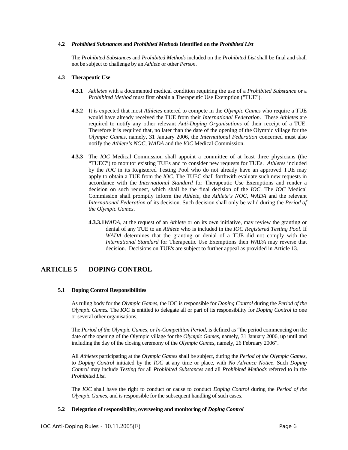### **4.2** *Prohibited Substances* **and** *Prohibited Methods* **Identified on the** *Prohibited List*

The *Prohibited Substances* and *Prohibited Methods* included on the *Prohibited List* shall be final and shall not be subject to challenge by an *Athlete* or other *Person*.

### **4.3 Therapeutic Use**

- **4.3.1** *Athletes* with a documented medical condition requiring the use of a *Prohibited Substance* or a *Prohibited Method* must first obtain a Therapeutic Use Exemption ("TUE").
- **4.3.2** It is expected that most *Athletes* entered to compete in the *Olympic Games* who require a TUE would have already received the TUE from their *International Federation*. These *Athletes* are required to notify any other relevant *Anti-Doping Organisations* of their receipt of a TUE. Therefore it is required that, no later than the date of the opening of the Olympic village for the *Olympic Games*, namely, 31 January 2006, the *International Federation* concerned must also notify the *Athlete's NOC, WADA* and the *IOC* Medical Commission.
- **4.3.3** The *IOC* Medical Commission shall appoint a committee of at least three physicians (the "TUEC") to monitor existing TUEs and to consider new requests for TUEs. *Athletes* included by the *IOC* in its Registered Testing Pool who do not already have an approved TUE may apply to obtain a TUE from the *IOC*. The TUEC shall forthwith evaluate such new requests in accordance with the *International Standard* for Therapeutic Use Exemptions and render a decision on such request, which shall be the final decision of the *IOC*. The *IOC* Medical Commission shall promptly inform the *Athlete*, the *Athlete's NOC, WADA* and the relevant *International Federation* of its decision. Such decision shall only be valid during the *Period of the Olympic Games*.
	- **4.3.3.1***WADA*, at the request of an *Athlete* or on its own initiative, may review the granting or denial of any TUE to an *Athlete* who is included in the *IOC Registered Testing Pool*. If *WADA* determines that the granting or denial of a TUE did not comply with the *International Standard* for Therapeutic Use Exemptions then *WADA* may reverse that decision. Decisions on TUE's are subject to further appeal as provided in Article 13.

# **ARTICLE 5 DOPING CONTROL**

### **5.1 Doping Control Responsibilities**

As ruling body for the *Olympic Games*, the IOC is responsible for *Doping Control* during the *Period of the Olympic Games.* The *IOC* is entitled to delegate all or part of its responsibility for *Doping Control* to one or several other organisations.

The *Period of the Olympic Games,* or *In-Competition Period,* is defined as "the period commencing on the date of the opening of the Olympic village for the *Olympic Games*, namely, 31 January 2006, up until and including the day of the closing ceremony of the *Olympic Games*, namely, 26 February 2006".

All *Athletes* participating at the *Olympic Games* shall be subject, during the *Period of the Olympic Games,*  to *Doping Control* initiated by the *IOC* at any time or place, with *No Advance Notice*. Such *Doping Control* may include *Testing* for all *Prohibited Substances* and all *Prohibited Methods* referred to in the *Prohibited List.*

The *IOC* shall have the right to conduct or cause to conduct *Doping Control* during the *Period of the Olympic Games, and is responsible for the subsequent handling of such cases.* 

# **5.2 Delegation of responsibility, overseeing and monitoring of** *Doping Control*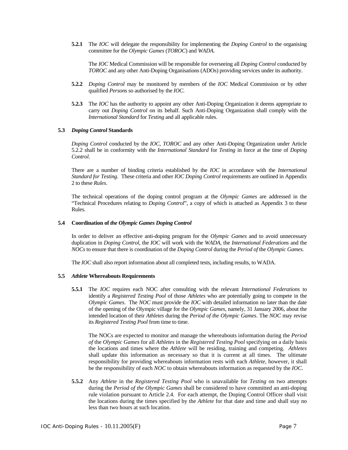**5.2.1** The *IOC* will delegate the responsibility for implementing the *Doping Control* to the organising committee for the *Olympic Games* (*TOROC*) and *WADA*.

The *IOC* Medical Commission will be responsible for overseeing all *Doping Control* conducted by *TOROC* and any other Anti-Doping Organisations (ADOs) providing services under its authority.

- **5.2.2** *Doping Control* may be monitored by members of the *IOC* Medical Commission or by other qualified *Person*s so authorised by the *IOC*.
- **5.2.3** The *IOC* has the authority to appoint any other Anti-Doping Organization it deems appropriate to carry out *Doping Control* on its behalf. Such Anti-Doping Organization shall comply with the *International Standard* for *Testing* and all applicable rules.

#### **5.3** *Doping Control* **Standards**

*Doping Control* conducted by the *IOC, TOROC* and any other Anti-Doping Organization under Article 5.2.2 shall be in conformity with the *International Standard* for *Testing* in force at the time of *Doping Control*.

There are a number of binding criteria established by the *IOC* in accordance with the *International Standard for Testing.* These criteria and other *IOC Doping Control* requirements are outlined in Appendix 2 to these *Rules*.

The technical operations of the doping control program at the *Olympic Games* are addressed in the "Technical Procedures relating to *Doping Control*", a copy of which is attached as Appendix 3 to these Rules.

#### **5.4 Coordination of** *the Olympic Games Doping Control*

In order to deliver an effective anti-doping program for the *Olympic Games* and to avoid unnecessary duplication in *Doping Control,* the *IOC* will work with the *WADA,* the *International Federations* and the *NOCs* to ensure that there is coordination of the *Doping Control* during the *Period of* the *Olympic Games.* 

The *IOC* shall also report information about all completed tests, including results, to WADA.

#### **5.5** *Athlete* **Whereabouts Requirements**

**5.5.1** The *IOC* requires each NOC after consulting with the relevant *International Federations* to identify a *Registered Testing Pool* of those *Athletes* who are potentially going to compete in the *Olympic Games*. The *NOC* must provide the *IOC* with detailed information no later than the date of the opening of the Olympic village for the *Olympic Games*, namely, 31 January 2006, about the intended location of their *Athletes* during the *Period of the Olympic Games*. The *NOC* may revise its *Registered Testing Pool* from time to time.

The NOCs are expected to monitor and manage the whereabouts information during the *Period of* the *Olympic Games* for all *Athletes* in the *Registered Testing Pool* specifying on a daily basis the locations and times where the *Athlete* will be residing, training and competing. *Athletes*  shall update this information as necessary so that it is current at all times. The ultimate responsibility for providing whereabouts information rests with each *Athlete*, however, it shall be the responsibility of each *NOC* to obtain whereabouts information as requested by the *IOC*.

**5.5.2** Any *Athlete* in the *Registered Testing Pool* who is unavailable for *Testing* on two attempts during the *Period of the Olympic Games* shall be considered to have committed an anti-doping rule violation pursuant to Article 2.4. For each attempt, the Doping Control Officer shall visit the locations during the times specified by the *Athlete* for that date and time and shall stay no less than two hours at such location.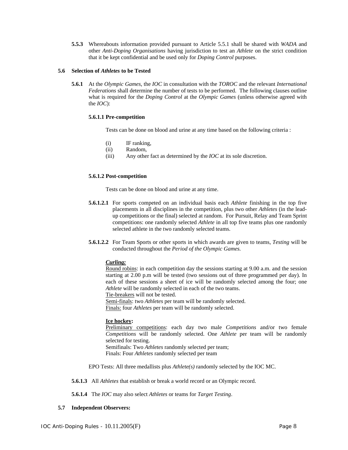**5.5.3** Whereabouts information provided pursuant to Article 5.5.1 shall be shared with *WADA* and other *Anti-Doping Organisations* having jurisdiction to test an *Athlete* on the strict condition that it be kept confidential and be used only for *Doping Control* purposes.

### **5.6 Selection of** *Athletes* **to be Tested**

**5.6.1** At the *Olympic Games*, the *IOC* in consultation with the *TOROC* and the relevant *International Federations* shall determine the number of tests to be performed. The following clauses outline what is required for the *Doping Control* at the *Olympic Games* (unless otherwise agreed with the *IOC*):

### **5.6.1.1 Pre-competition**

Tests can be done on blood and urine at any time based on the following criteria :

- (i) IF ranking,
- (ii) Random,
- (iii) Any other fact as determined by the *IOC* at its sole discretion.

### **5.6.1.2 Post-competition**

Tests can be done on blood and urine at any time.

- **5.6.1.2.1** For sports competed on an individual basis each *Athlete* finishing in the top five placements in all disciplines in the competition, plus two other *Athletes* (in the leadup competitions or the final) selected at random. For Pursuit, Relay and Team Sprint competitions: one randomly selected *Athlete* in all top five teams plus one randomly selected athlete in the two randomly selected teams.
- **5.6.1.2.2** For Team Sports or other sports in which awards are given to teams, *Testing* will be conducted throughout the *Period of the Olympic Games.*

### *Curling:*

Round robins: in each competition day the sessions starting at 9.00 a.m. and the session starting at 2.00 p.m will be tested (two sessions out of three programmed per day). In each of these sessions a sheet of ice will be randomly selected among the four; one *Athlete* will be randomly selected in each of the two teams.

Tie-breakers will not be tested.

Semi-finals: two *Athletes* per team will be randomly selected.

Finals: four *Athletes* per team will be randomly selected.

### **Ice hockey:**

Preliminary competitions: each day two male *Competitions* and/or two female *Competitions* will be randomly selected. One *Athlete* per team will be randomly selected for testing.

Semifinals: Two *Athletes* randomly selected per team; Finals: Four *Athletes* randomly selected per team

EPO Tests: All three medallists plus *Athlete(s)* randomly selected by the IOC MC.

**5.6.1.3** All *Athletes* that establish or break a world record or an Olympic record.

**5.6.1.4** The *IOC* may also select *Athletes* or teams for *Target Testing*.

### **5.7 Independent Observers:**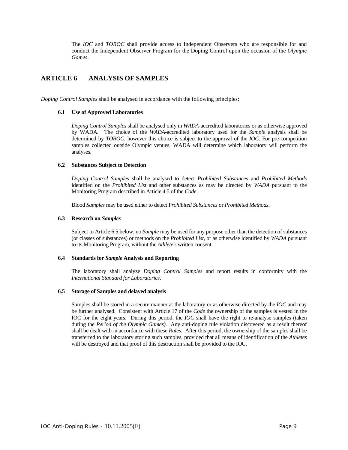The *IOC* and *TOROC* shall provide access to Independent Observers who are responsible for and conduct the Independent Observer Program for the Doping Control upon the occasion of the *Olympic Games*.

# **ARTICLE 6 ANALYSIS OF SAMPLES**

*Doping Control Samples* shall be analysed in accordance with the following principles:

### **6.1 Use of Approved Laboratories**

*Doping Control Samples* shall be analysed only in *WADA*-accredited laboratories or as otherwise approved by WADA. The choice of the *WADA*-accredited laboratory used for the *Sample* analysis shall be determined by *TOROC*, however this choice is subject to the approval of the *IOC*. For pre-competition samples collected outside Olympic venues, WADA will determine which laboratory will perform the analyses.

### **6.2 Substances Subject to Detection**

*Doping Control Samples* shall be analysed to detect *Prohibited Substances* and *Prohibited Methods* identified on the *Prohibited List* and other substances as may be directed by *WADA* pursuant to the Monitoring Program described in Article 4.5 of the *Code*.

Blood *Samples* may be used either to detect P*rohibited Substances* or *Prohibited Methods.*

### **6.3 Research on** *Samples*

Subject to Article 6.5 below, no *Sample* may be used for any purpose other than the detection of substances (or classes of substances) or methods on the *Prohibited List,* or as otherwise identified by *WADA* pursuant to its Monitoring Program, without the *Athlete's* written consent.

### **6.4 Standards for** *Sample* **Analysis and Reporting**

The laboratory shall analyze *Doping Control Samples* and report results in conformity with the *International Standard for Laboratories*.

### **6.5 Storage of Samples and delayed analysis**

Samples shall be stored in a secure manner at the laboratory or as otherwise directed by the *IOC* and may be further analysed. Consistent with Article 17 of the *Code* the ownership of the samples is vested in the IOC for the eight years. During this period, the *IOC* shall have the right to re-analyse samples (taken during the *Period of the Olympic Games)*. Any anti-doping rule violation discovered as a result thereof shall be dealt with in accordance with these *Rules*. After this period, the ownership of the samples shall be transferred to the laboratory storing such samples, provided that all means of identification of the *Athletes* will be destroyed and that proof of this destruction shall be provided to the IOC.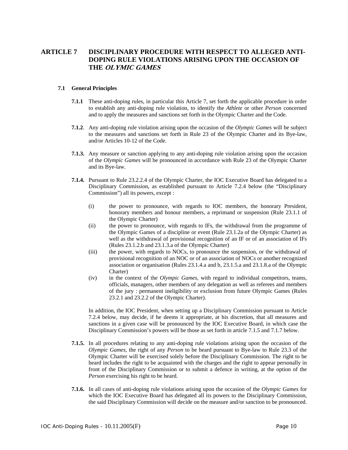# **ARTICLE 7 DISCIPLINARY PROCEDURE WITH RESPECT TO ALLEGED ANTI-DOPING RULE VIOLATIONS ARISING UPON THE OCCASION OF THE OLYMIC GAMES**

### **7.1 General Principles**

- **7.1.1** These anti-doping rules, in particular this Article 7, set forth the applicable procedure in order to establish any anti-doping rule violation, to identify the *Athlete* or other *Person* concerned and to apply the measures and sanctions set forth in the Olympic Charter and the Code.
- **7.1.2**. Any anti-doping rule violation arising upon the occasion of the *Olympic Games* will be subject to the measures and sanctions set forth in Rule 23 of the Olympic Charter and its Bye-law, and/or Articles 10-12 of the Code.
- **7.1.3.** Any measure or sanction applying to any anti-doping rule violation arising upon the occasion of the *Olympic Games* will be pronounced in accordance with Rule 23 of the Olympic Charter and its Bye-law.
- **7.1.4.** Pursuant to Rule 23.2.2.4 of the Olympic Charter, the IOC Executive Board has delegated to a Disciplinary Commission, as established pursuant to Article 7.2.4 below (the "Disciplinary Commission") all its powers, except :
	- (i) the power to pronounce, with regards to IOC members, the honorary President, honorary members and honour members, a reprimand or suspension (Rule 23.1.1 of the Olympic Charter)
	- (ii) the power to pronounce, with regards to IFs, the withdrawal from the programme of the Olympic Games of a discipline or event (Rule 23.1.2a of the Olympic Charter) as well as the withdrawal of provisional recognition of an IF or of an association of IFs (Rules 23.1.2.b and 23.1.3.a of the Olympic Charter)
	- (iii) the power, with regards to NOCs, to pronounce the suspension, or the withdrawal of provisional recognition of an NOC or of an association of NOCs or another recognized association or organisation (Rules 23.1.4.a and b, 23.1.5.a and 23.1.8.a of the Olympic Charter)
	- (iv) in the context of the *Olympic Games,* with regard to individual competitors, teams, officials, managers, other members of any delegation as well as referees and members of the jury : permanent ineligibility or exclusion from future Olympic Games (Rules 23.2.1 and 23.2.2 of the Olympic Charter).

In addition, the IOC President, when setting up a Disciplinary Commission pursuant to Article 7.2.4 below, may decide, if he deems it appropriate, at his discretion, that all measures and sanctions in a given case will be pronounced by the IOC Executive Board, in which case the Disciplinary Commission's powers will be those as set forth in article 7.1.5 and 7.1.7 below.

- **7.1.5.** In all procedures relating to any anti-doping rule violations arising upon the occasion of the *Olympic Games,* the right of any *Person* to be heard pursuant to Bye-law to Rule 23.3 of the Olympic Charter will be exercised solely before the Disciplinary Commission. The right to be heard includes the right to be acquainted with the charges and the right to appear personally in front of the Disciplinary Commission or to submit a defence in writing, at the option of the *Person* exercising his right to be heard.
- **7.1.6.** In all cases of anti-doping rule violations arising upon the occasion of the *Olympic Games* for which the IOC Executive Board has delegated all its powers to the Disciplinary Commission, the said Disciplinary Commission will decide on the measure and/or sanction to be pronounced.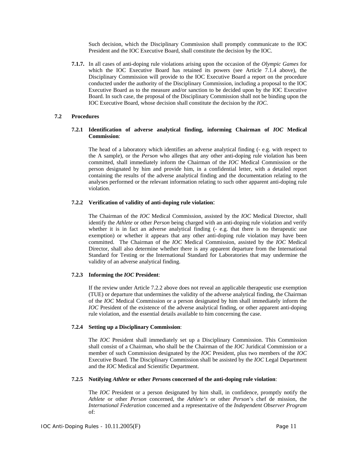Such decision, which the Disciplinary Commission shall promptly communicate to the IOC President and the IOC Executive Board, shall constitute the decision by the IOC.

**7.1.7.** In all cases of anti-doping rule violations arising upon the occasion of the *Olympic Games* for which the IOC Executive Board has retained its powers (see Article 7.1.4 above), the Disciplinary Commission will provide to the IOC Executive Board a report on the procedure conducted under the authority of the Disciplinary Commission, including a proposal to the IOC Executive Board as to the measure and/or sanction to be decided upon by the IOC Executive Board. In such case, the proposal of the Disciplinary Commission shall not be binding upon the IOC Executive Board, whose decision shall constitute the decision by the *IOC*.

### **7.2 Procedures**

### **7.2.1 Identification of adverse analytical finding, informing Chairman of** *IOC* **Medical Commission**:

The head of a laboratory which identifies an adverse analytical finding (- e.g. with respect to the A sample), or the *Person* who alleges that any other anti-doping rule violation has been committed, shall immediately inform the Chairman of the *IOC* Medical Commission or the person designated by him and provide him, in a confidential letter, with a detailed report containing the results of the adverse analytical finding and the documentation relating to the analyses performed or the relevant information relating to such other apparent anti-doping rule violation.

### **7.2.2 Verification of validity of anti-doping rule violation**:

The Chairman of the *IOC* Medical Commission, assisted by the *IOC* Medical Director, shall identify the *Athlete* or other *Person* being charged with an anti-doping rule violation and verify whether it is in fact an adverse analytical finding (- e.g. that there is no therapeutic use exemption) or whether it appears that any other anti-doping rule violation may have been committed. The Chairman of the *IOC* Medical Commission, assisted by the *IOC* Medical Director, shall also determine whether there is any apparent departure from the International Standard for Testing or the International Standard for Laboratories that may undermine the validity of an adverse analytical finding.

### **7.2.3 Informing the** *IOC* **President**:

If the review under Article 7.2.2 above does not reveal an applicable therapeutic use exemption (TUE) or departure that undermines the validity of the adverse analytical finding, the Chairman of the *IOC* Medical Commission or a person designated by him shall immediately inform the *IOC* President of the existence of the adverse analytical finding, or other apparent anti-doping rule violation, and the essential details available to him concerning the case.

### **7.2.4 Setting up a Disciplinary Commission**:

The *IOC* President shall immediately set up a Disciplinary Commission. This Commission shall consist of a Chairman, who shall be the Chairman of the *IOC* Juridical Commission or a member of such Commission designated by the *IOC* President, plus two members of the *IOC* Executive Board. The Disciplinary Commission shall be assisted by the *IOC* Legal Department and the *IOC* Medical and Scientific Department.

### **7.2.5 Notifying** *Athlete* **or other** *Person***s concerned of the anti-doping rule violation**:

The *IOC* President or a person designated by him shall, in confidence, promptly notify the *Athlete* or other *Person* concerned, the *Athlete's* or other *Person*'s chef de mission, the *International Federation* concerned and a representative of the *Independent Observer Program* of: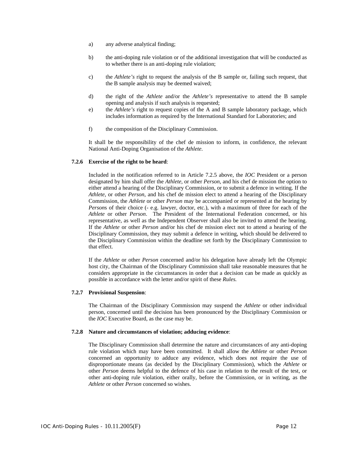- a) any adverse analytical finding;
- b) the anti-doping rule violation or of the additional investigation that will be conducted as to whether there is an anti-doping rule violation;
- c) the *Athlete's* right to request the analysis of the B sample or, failing such request, that the B sample analysis may be deemed waived;
- d) the right of the *Athlete* and/or the *Athlete's* representative to attend the B sample opening and analysis if such analysis is requested;
- e) the *Athlete's* right to request copies of the A and B sample laboratory package, which includes information as required by the International Standard for Laboratories; and
- f) the composition of the Disciplinary Commission.

It shall be the responsibility of the chef de mission to inform, in confidence, the relevant National Anti-Doping Organisation of the *Athlete*.

### **7.2.6 Exercise of the right to be heard**:

Included in the notification referred to in Article 7.2.5 above, the *IOC* President or a person designated by him shall offer the *Athlete*, or other *Person*, and his chef de mission the option to either attend a hearing of the Disciplinary Commission, or to submit a defence in writing. If the *Athlete*, or other *Person*, and his chef de mission elect to attend a hearing of the Disciplinary Commission, the *Athlete* or other *Person* may be accompanied or represented at the hearing by *Person*s of their choice (- e.g. lawyer, doctor, etc.), with a maximum of three for each of the *Athlete* or other *Person*. The President of the International Federation concerned, or his representative, as well as the Independent Observer shall also be invited to attend the hearing. If the *Athlete* or other *Person* and/or his chef de mission elect not to attend a hearing of the Disciplinary Commission, they may submit a defence in writing, which should be delivered to the Disciplinary Commission within the deadline set forth by the Disciplinary Commission to that effect.

If the *Athlete* or other *Person* concerned and/or his delegation have already left the Olympic host city, the Chairman of the Disciplinary Commission shall take reasonable measures that he considers appropriate in the circumstances in order that a decision can be made as quickly as possible in accordance with the letter and/or spirit of these *Rules.*

### **7.2.7 Provisional Suspension**:

The Chairman of the Disciplinary Commission may suspend the *Athlete* or other individual person, concerned until the decision has been pronounced by the Disciplinary Commission or the *IOC* Executive Board, as the case may be.

### **7.2.8 Nature and circumstances of violation; adducing evidence**:

The Disciplinary Commission shall determine the nature and circumstances of any anti-doping rule violation which may have been committed. It shall allow the *Athlete* or other *Person* concerned an opportunity to adduce any evidence, which does not require the use of disproportionate means (as decided by the Disciplinary Commission), which the *Athlete* or other *Person* deems helpful to the defence of his case in relation to the result of the test, or other anti-doping rule violation, either orally, before the Commission, or in writing, as the *Athlete* or other *Person* concerned so wishes.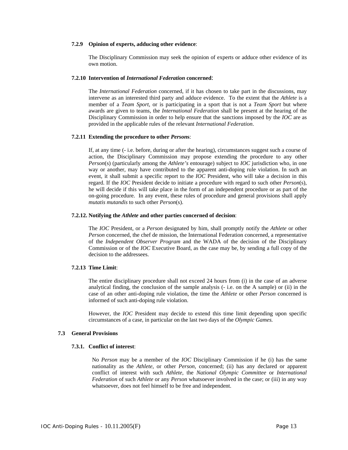### **7.2.9 Opinion of experts, adducing other evidence**:

The Disciplinary Commission may seek the opinion of experts or adduce other evidence of its own motion.

### **7.2.10 Intervention of** *International Federation* **concerned**:

The *International Federation* concerned, if it has chosen to take part in the discussions, may intervene as an interested third party and adduce evidence. To the extent that the *Athlete* is a member of a *Team Sport*, or is participating in a sport that is not a *Team Sport* but where awards are given to teams, the *International Federation* shall be present at the hearing of the Disciplinary Commission in order to help ensure that the sanctions imposed by the *IOC* are as provided in the applicable rules of the relevant *International Federation*.

### **7.2.11 Extending the procedure to other** *Person***s**:

If, at any time (- i.e. before, during or after the hearing), circumstances suggest such a course of action, the Disciplinary Commission may propose extending the procedure to any other *Person*(s) (particularly among the *Athlete's* entourage) subject to *IOC* jurisdiction who, in one way or another, may have contributed to the apparent anti-doping rule violation. In such an event, it shall submit a specific report to the *IOC* President, who will take a decision in this regard. If the *IOC* President decide to initiate a procedure with regard to such other *Person*(s), he will decide if this will take place in the form of an independent procedure or as part of the on-going procedure. In any event, these rules of procedure and general provisions shall apply *mutatis mutandis* to such other *Person*(s).

### **7.2.12. Notifying the** *Athlete* **and other parties concerned of decision**:

The *IOC* President, or a *Person* designated by him, shall promptly notify the *Athlete* or other *Person* concerned, the chef de mission, the International Federation concerned, a representative of the *Independent Observer Program* and the WADA of the decision of the Disciplinary Commission or of the *IOC* Executive Board, as the case may be, by sending a full copy of the decision to the addressees.

### **7.2.13 Time Limit**:

The entire disciplinary procedure shall not exceed 24 hours from (i) in the case of an adverse analytical finding, the conclusion of the sample analysis (- i.e. on the A sample) or (ii) in the case of an other anti-doping rule violation, the time the *Athlete* or other *Person* concerned is informed of such anti-doping rule violation.

However, the *IOC* President may decide to extend this time limit depending upon specific circumstances of a case, in particular on the last two days of the *Olympic Games.*

### **7.3 General Provisions**

### **7.3.1. Conflict of interest**:

No *Person* may be a member of the *IOC* Disciplinary Commission if he (i) has the same nationality as the *Athlete*, or other *Person*, concerned; (ii) has any declared or apparent conflict of interest with such *Athlete*, the *National Olympic Committee* or *International Federation* of such *Athlete* or any *Person* whatsoever involved in the case; or (iii) in any way whatsoever, does not feel himself to be free and independent.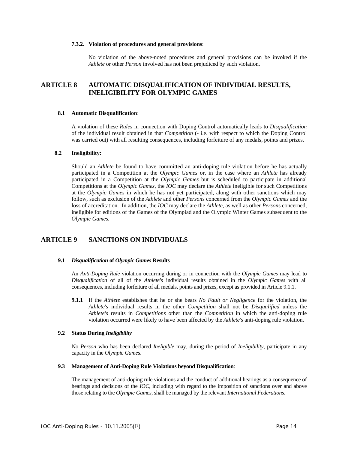### **7.3.2. Violation of procedures and general provisions**:

No violation of the above-noted procedures and general provisions can be invoked if the *Athlete* or other *Person* involved has not been prejudiced by such violation.

# **ARTICLE 8 AUTOMATIC DISQUALIFICATION OF INDIVIDUAL RESULTS, INELIGIBILITY FOR OLYMPIC GAMES**

### **8.1 Automatic Disqualification**:

A violation of these *Rules* in connection with Doping Control automatically leads to *Disqualification* of the individual result obtained in that *Competition* (- i.e. with respect to which the Doping Control was carried out) with all resulting consequences, including forfeiture of any medals, points and prizes.

### **8.2 Ineligibility:**

Should an *Athlete* be found to have committed an anti-doping rule violation before he has actually participated in a Competition at the *Olympic Games* or, in the case where an *Athlete* has already participated in a Competition at the *Olympic Games* but is scheduled to participate in additional Competitions at the *Olympic Games*, the *IOC* may declare the *Athlete* ineligible for such Competitions at the *Olympic Games* in which he has not yet participated, along with other sanctions which may follow, such as exclusion of the *Athlete* and other *Person*s concerned from the *Olympic Games* and the loss of accreditation. In addition, the *IOC* may declare the *Athlete*, as well as other *Person*s concerned, ineligible for editions of the Games of the Olympiad and the Olympic Winter Games subsequent to the *Olympic Games*.

# **ARTICLE 9 SANCTIONS ON INDIVIDUALS**

#### **9.1** *Disqualification* **of** *Olympic Games* **Results**

An *Anti-Doping Rule* violation occurring during or in connection with the *Olympic Games* may lead to *Disqualification* of all of the *Athlete's* individual results obtained in the *Olympic Games* with all consequences, including forfeiture of all medals, points and prizes, except as provided in Article 9.1.1.

**9.1.1** If the *Athlete* establishes that he or she bears *No Fault or Negligence* for the violation, the *Athlete's* individual results in the other *Competition* shall not be *Disqualified* unless the *Athlete's* results in *Competitions* other than the *Competition* in which the anti-doping rule violation occurred were likely to have been affected by the *Athlete's* anti-doping rule violation.

### **9.2 Status During** *Ineligibility*

No *Person* who has been declared *Ineligible* may, during the period of *Ineligibility*, participate in any capacity in the *Olympic Games*.

### **9.3 Management of Anti-Doping Rule Violations beyond Disqualification**:

The management of anti-doping rule violations and the conduct of additional hearings as a consequence of hearings and decisions of the *IOC*, including with regard to the imposition of sanctions over and above those relating to the *Olympic Games*, shall be managed by the relevant *International Federations*.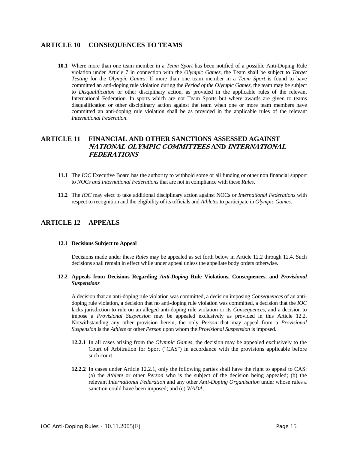# **ARTICLE 10 CONSEQUENCES TO TEAMS**

**10.1** Where more than one team member in a *Team Sport* has been notified of a possible Anti-Doping Rule violation under Article 7 in connection with the *Olympic Games,* the Team shall be subject to *Target Testing* for the *Olympic Games*. If more than one team member in a *Team Sport* is found to have committed an anti-doping rule violation during the *Period of the Olympic Games*, the team may be subject to *Disqualification* or other disciplinary action, as provided in the applicable rules of the relevant International Federation. In sports which are not Team Sports but where awards are given to teams disqualification or other disciplinary action against the team when one or more team members have committed an anti-doping rule violation shall be as provided in the applicable rules of the relevant *International Federation*.

# **ARTICLE 11 FINANCIAL AND OTHER SANCTIONS ASSESSED AGAINST NATIONAL OLYMPIC COMMITTEES AND INTERNATIONAL FEDERATIONS**

- **11.1** The *IOC* Executive Board has the authority to withhold some or all funding or other non financial support to *NOCs and International Federations* that are not in compliance with these *Rules*.
- **11.2** The *IOC* may elect to take additional disciplinary action against NOCs or *International Federations* with respect to recognition and the eligibility of its officials and *Athletes* to participate in *Olympic Games*.

# **ARTICLE 12 APPEALS**

### **12.1 Decisions Subject to Appeal**

Decisions made under these *Rules* may be appealed as set forth below in Article 12.2 through 12.4. Such decisions shall remain in effect while under appeal unless the appellate body orders otherwise.

### **12.2 Appeals from Decisions Regarding** *Anti-Doping* **Rule Violations, Consequences, and** *Provisional Suspensions*

A decision that an anti-doping rule violation was committed, a decision imposing *Consequences* of an antidoping rule violation, a decision that no anti-doping rule violation was committed, a decision that the *IOC* lacks jurisdiction to rule on an alleged anti-doping rule violation or its *Consequences*, and a decision to impose a *Provisional Suspension* may be appealed exclusively as provided in this Article 12.2. Notwithstanding any other provision herein, the only *Person* that may appeal from a *Provisional Suspension* is the *Athlete* or other *Person* upon whom the *Provisional Suspension* is imposed.

- **12.2.1** In all cases arising from the *Olympic Games*, the decision may be appealed exclusively to the Court of Arbitration for Sport ("CAS") in accordance with the provisions applicable before such court.
- **12.2.2** In cases under Article 12.2.1, only the following parties shall have the right to appeal to CAS: (a) the *Athlete* or other *Person* who is the subject of the decision being appealed; (b) the relevant *International Federation* and any other *Anti-Doping Organisation* under whose rules a sanction could have been imposed; and (c) *WADA*.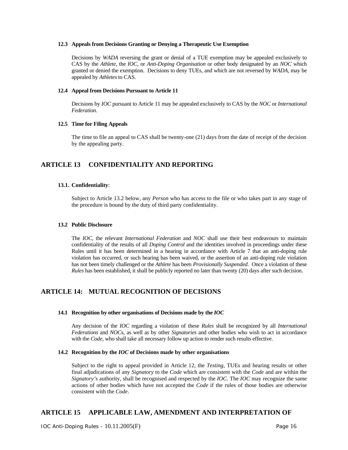### **12.3 Appeals from Decisions Granting or Denying a Therapeutic Use Exemption**

Decisions by *WADA* reversing the grant or denial of a TUE exemption may be appealed exclusively to CAS by the *Athlete*, the *IOC*, or *Anti-Doping Organisation* or other body designated by an *NOC* which granted or denied the exemption. Decisions to deny TUEs, and which are not reversed by *WADA*, may be appealed by *Athletes* to CAS.

### **12.4 Appeal from Decisions Pursuant to Article 11**

Decisions by *IOC* pursuant to Article 11 may be appealed exclusively to CAS by the *NOC* or *International Federation*.

### **12.5 Time for Filing Appeals**

The time to file an appeal to CAS shall be twenty-one (21) days from the date of receipt of the decision by the appealing party.

# **ARTICLE 13 CONFIDENTIALITY AND REPORTING**

### **13.1. Confidentiality**:

 Subject to Article 13.2 below, any *Person* who has access to the file or who takes part in any stage of the procedure is bound by the duty of third party confidentiality*.*

### **13.2 Public Disclosure**

The *IOC,* the relevant *International Federation* and *NOC* shall use their best endeavours to maintain confidentiality of the results of all *Doping Control* and the identities involved in proceedings under these Rules until it has been determined in a hearing in accordance with Article 7 that an anti-doping rule violation has occurred, or such hearing has been waived, or the assertion of an anti-doping rule violation has not been timely challenged or the *Athlete* has been *Provisionally Suspended*. Once a violation of these *Rules* has been established, it shall be publicly reported no later than twenty (20) days after such decision.

# **ARTICLE 14: MUTUAL RECOGNITION OF DECISIONS**

### **14.1 Recognition by other organisations of Decisions made by the** *IOC*

Any decision of the *IOC* regarding a violation of these *Rules* shall be recognized by all *International Federations* and *NOC*s, as well as by other *Signatories* and other bodies who wish to act in accordance with the *Code*, who shall take all necessary follow up action to render such results effective.

### **14.2 Recognition by the** *IOC* **of Decisions made by other organisations**

Subject to the right to appeal provided in Article 12, the *Testing*, TUEs and hearing results or other final adjudications of any *Signatory* to the *Code* which are consistent with the *Code* and are within the *Signatory's* authority, shall be recognised and respected by the *IOC*. The *IOC* may recognize the same actions of other bodies which have not accepted the *Code* if the rules of those bodies are otherwise consistent with the *Code*.

# **ARTICLE 15 APPLICABLE LAW, AMENDMENT AND INTERPRETATION OF**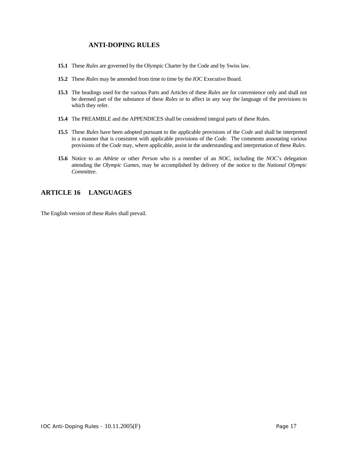# **ANTI-DOPING RULES**

- **15.1** These *Rules* are governed by the Olympic Charter by the Code and by Swiss law.
- **15.2** These *Rules* may be amended from time to time by the *IOC* Executive Board.
- **15.3** The headings used for the various Parts and Articles of these *Rules* are for convenience only and shall not be deemed part of the substance of these *Rules* or to affect in any way the language of the provisions to which they refer.
- **15.4** The PREAMBLE and the APPENDICES shall be considered integral parts of these Rules.
- **15.5** These *Rules* have been adopted pursuant to the applicable provisions of the *Code* and shall be interpreted in a manner that is consistent with applicable provisions of the *Code*. The comments annotating various provisions of the *Code* may, where applicable, assist in the understanding and interpretation of these *Rules*.
- **15.6** Notice to an *Athlete* or other *Person* who is a member of an *NOC*, including the *NOC*'s delegation attending the *Olympic Games*, may be accomplished by delivery of the notice to the *National Olympic Committee*.

# **ARTICLE 16 LANGUAGES**

The English version of these *Rules* shall prevail.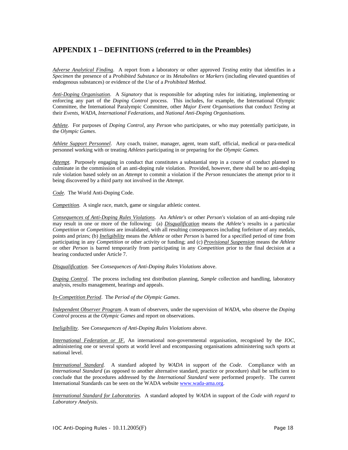# **APPENDIX 1 – DEFINITIONS (referred to in the Preambles)**

*Adverse Analytical Finding*. A report from a laboratory or other approved *Testing* entity that identifies in a *Specimen* the presence of a *Prohibited Substance* or its *Metabolites* or *Markers* (including elevated quantities of endogenous substances) or evidence of the *Use* of a *Prohibited Method*.

*Anti-Doping Organisation*. A *Signatory* that is responsible for adopting rules for initiating, implementing or enforcing any part of the *Doping Control* process. This includes, for example, the International Olympic Committee, the International Paralympic Committee, other *Major Event Organisations* that conduct *Testing* at their *Events*, *WADA*, *International Federations*, and *National Anti-Doping Organisations.*

*Athlete*. For purposes of *Doping Control*, any *Person* who participates, or who may potentially participate, in the *Olympic Games*.

*Athlete Support Personnel*. Any coach, trainer, manager, agent, team staff, official, medical or para-medical personnel working with or treating *Athletes* participating in or preparing for the *Olympic Games.*

*Attempt.* Purposely engaging in conduct that constitutes a substantial step in a course of conduct planned to culminate in the commission of an anti-doping rule violation. Provided, however, there shall be no anti-doping rule violation based solely on an *Attempt* to commit a violation if the *Person* renunciates the attempt prior to it being discovered by a third party not involved in the *Attempt*.

*Code.* The World Anti-Doping Code.

*Competition.* A single race, match, game or singular athletic contest.

*Consequences of Anti-Doping Rules Violations*. An *Athlete's* or other *Person's* violation of an anti-doping rule may result in one or more of the following: (a) *Disqualification* means the *Athlete's* results in a particular *Competition* or *Competitions* are invalidated, with all resulting consequences including forfeiture of any medals, points and prizes; (b) *Ineligibility* means the *Athlete* or other *Person* is barred for a specified period of time from participating in any *Competition* or other activity or funding; and (c) *Provisional Suspension* means the *Athlete* or other *Person* is barred temporarily from participating in any *Competition* prior to the final decision at a hearing conducted under Article 7.

*Disqualification*. See *Consequences of Anti-Doping Rules Violations* above.

*Doping Control*. The process including test distribution planning, *Sample* collection and handling, laboratory analysis, results management, hearings and appeals.

*In-Competition Period*. The *Period of the Olympic Games*.

*Independent Observer Program*. A team of observers, under the supervision of *WADA*, who observe the *Doping Control* process at the *Olympic Games* and report on observations.

*Ineligibility*. See *Consequences of Anti-Doping Rules Violations* above.

*International Federation or IF*. An international non-governmental organisation, recognised by the *IOC*, administering one or several sports at world level and encompassing organisations administering such sports at national level.

*International Standard.* A standard adopted by *WADA* in support of the *Code*. Compliance with an *International Standard* (as opposed to another alternative standard, practice or procedure) shall be sufficient to conclude that the procedures addressed by the *International Standard* were performed properly. The current International Standards can be seen on the WADA website www.wada-ama.org.

*International Standard for Laboratories.* A standard adopted by *WADA* in support of the *Code with regard to Laboratory Analysis*.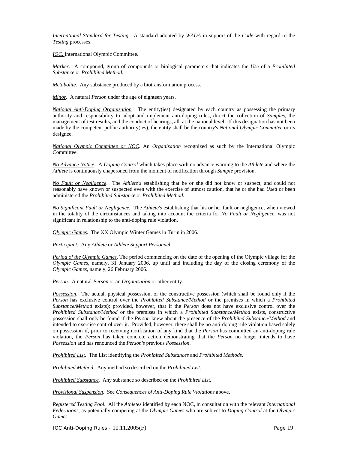*International Standard for Testing.* A standard adopted by *WADA* in support of the *Code* with regard to the *Testing* processes.

*IOC.* International Olympic Committee.

*Marker*. A compound, group of compounds or biological parameters that indicates the *Use* of a *Prohibited Substance* or *Prohibited Method.* 

*Metabolite*. Any substance produced by a biotransformation process.

*Minor*. A natural *Person* under the age of eighteen years.

*National Anti-Doping Organisation.* The entity(ies) designated by each country as possessing the primary authority and responsibility to adopt and implement anti-doping rules, direct the collection of *Samples*, the management of test results, and the conduct of hearings, all at the national level. If this designation has not been made by the competent public authority(ies), the entity shall be the country's *National Olympic Committee* or its designee.

*National Olympic Committee or NOC*. An *Organisation* recognized as such by the International Olympic Committee.

*No Advance Notice*. A *Doping Control* which takes place with no advance warning to the *Athlete* and where the *Athlete* is continuously chaperoned from the moment of notification through *Sample* provision.

*No Fault or Negligence*. The *Athlete's* establishing that he or she did not know or suspect, and could not reasonably have known or suspected even with the exercise of utmost caution, that he or she had *Used* or been administered the *Prohibited Substance* or *Prohibited Method.* 

*No Significant Fault or Negligence*. The *Athlete's* establishing that his or her fault or negligence, when viewed in the totality of the circumstances and taking into account the criteria for *No Fault or Negligence*, was not significant in relationship to the anti-doping rule violation.

*Olympic Games*. The XX Olympic Winter Games in Turin in 2006.

*Participant.* Any *Athlete* or *Athlete Support Personnel*.

*Period of the Olympic Games*. The period commencing on the date of the opening of the Olympic village for the *Olympic Games*, namely, 31 January 2006, up until and including the day of the closing ceremony of the *Olympic Games*, namely, 26 February 2006.

*Person*. A natural *Person* or an *Organisation* or other entity.

*Possession*. The actual, physical possession, or the constructive possession (which shall be found only if the *Person* has exclusive control over the *Prohibited Substance/Method* or the premises in which a *Prohibited Substance/Method* exists); provided, however, that if the *Person* does not have exclusive control over the *Prohibited Substance/Method* or the premises in which a *Prohibited Substance/Method* exists, constructive possession shall only be found if the *Person* knew about the presence of the *Prohibited Substance/Method* and intended to exercise control over it. Provided, however, there shall be no anti-doping rule violation based solely on possession if, prior to receiving notification of any kind that the *Person* has committed an anti-doping rule violation, the *Person* has taken concrete action demonstrating that the *Person* no longer intends to have *Possession* and has renounced the *Person's* previous *Possession*.

*Prohibited List*. The List identifying the *Prohibited Substances* and *Prohibited Methods*.

*Prohibited Method*. Any method so described on the *Prohibited List*.

*Prohibited Substance*. Any substance so described on the *Prohibited List*.

*Provisional Suspension*. See *Consequences of Anti-Doping Rule Violations* above.

*Registered Testing Pool*. All the *Athletes* identified by each NOC, in consultation with the relevant *International Federations*, as potentially competing at the *Olympic Games* who are subject to *Doping Control* at the *Olympic Games*.

IOC Anti-Doping Rules - 10.11.2005(F) Page 19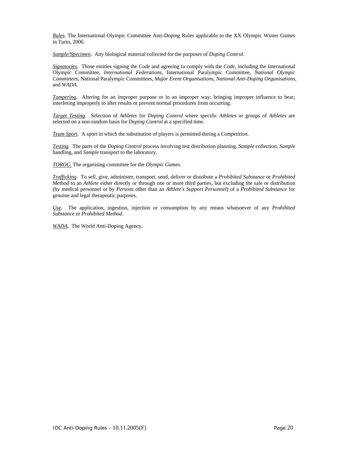*Rules*. The International Olympic Committee Anti-Doping Rules applicable to the XX Olympic Winter Games in Turin, 2006.

*Sample*/S*pecimen*. Any biological material collected for the purposes of *Doping Control*.

*Signatories.* Those entities signing the *Code* and agreeing to comply with the *Code*, including the International Olympic Committee, *International Federations*, International Paralympic Committee, *National Olympic Committee*s, National Paralympic Committees, *Major Event Organisations*, *National Anti-Doping Organisations*, and *WADA*.

*Tampering*. Altering for an improper purpose or in an improper way; bringing improper influence to bear; interfering improperly to alter results or prevent normal procedures from occurring.

*Target Testing*. Selection of *Athletes* for *Doping Control* where specific *Athletes* or groups of *Athletes* are selected on a non-random basis for *Doping Control* at a specified time.

*Team Sport.* A sport in which the substitution of players is permitted during a *Competition*.

*Testing.* The parts of the *Doping Control* process involving test distribution planning, *Sample* collection, *Sample* handling, and *Sample* transport to the laboratory.

*TOROC.* The organising committee for the *Olympic Games.* 

*Trafficking*. To sell, give, administer, transport, send, deliver or distribute a *Prohibited Substance* or *Prohibited Method* to an *Athlete* either directly or through one or more third parties, but excluding the sale or distribution (by medical personnel or by *Person*s other than an *Athlete's Support Personnel*) of a *Prohibited Substance* for genuine and legal therapeutic purposes.

*Use*. The application, ingestion, injection or consumption by any means whatsoever of any *Prohibited Substance* or *Prohibited Method*.

*WADA.* The World Anti-Doping Agency.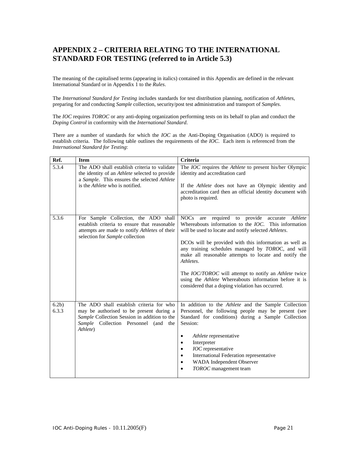# **APPENDIX 2 – CRITERIA RELATING TO THE INTERNATIONAL STANDARD FOR TESTING (referred to in Article 5.3)**

The meaning of the capitalised terms (appearing in italics) contained in this Appendix are defined in the relevant International Standard or in Appendix 1 to the *Rules*.

The *International Standard for Testing* includes standards for test distribution planning, notification of *Athletes*, preparing for and conducting *Sample* collection, security/post test administration and transport of *Samples*.

The *IOC* requires *TOROC* or any anti-doping organization performing tests on its behalf to plan and conduct the *Doping Control* in conformity with the *International Standard*.

There are a number of standards for which the *IOC* as the Anti-Doping Organisation (ADO) is required to establish criteria. The following table outlines the requirements of the *IOC*. Each item is referenced from the *International Standard for Testing*:

| Ref.                      | <b>Item</b>                                                                                                                                                                              | <b>Criteria</b>                                                                                                                                                                                                                                                                                                                                                                                                                                                                                                                                |
|---------------------------|------------------------------------------------------------------------------------------------------------------------------------------------------------------------------------------|------------------------------------------------------------------------------------------------------------------------------------------------------------------------------------------------------------------------------------------------------------------------------------------------------------------------------------------------------------------------------------------------------------------------------------------------------------------------------------------------------------------------------------------------|
| 5.3.4                     | The ADO shall establish criteria to validate<br>the identity of an Athlete selected to provide<br>a Sample. This ensures the selected Athlete<br>is the <i>Athlete</i> who is notified.  | The <i>IOC</i> requires the <i>Athlete</i> to present his/her Olympic<br>identity and accreditation card<br>If the Athlete does not have an Olympic identity and<br>accreditation card then an official identity document with<br>photo is required.                                                                                                                                                                                                                                                                                           |
| 5.3.6                     | For Sample Collection, the ADO shall<br>establish criteria to ensure that reasonable<br>attempts are made to notify Athletes of their<br>selection for Sample collection                 | <b>NOCs</b><br>required to provide accurate Athlete<br>are<br>Whereabouts information to the <i>IOC</i> . This information<br>will be used to locate and notify selected Athletes.<br>DCOs will be provided with this information as well as<br>any training schedules managed by TOROC, and will<br>make all reasonable attempts to locate and notify the<br>Athletes.<br>The IOC/TOROC will attempt to notify an Athlete twice<br>using the Athlete Whereabouts information before it is<br>considered that a doping violation has occurred. |
| 6.2 <sub>b</sub><br>6.3.3 | The ADO shall establish criteria for who<br>may be authorised to be present during a<br>Sample Collection Session in addition to the<br>Sample Collection Personnel (and the<br>Athlete) | In addition to the Athlete and the Sample Collection<br>Personnel, the following people may be present (see<br>Standard for conditions) during a Sample Collection<br>Session:<br>Athlete representative<br>Interpreter<br>IOC representative<br>International Federation representative<br>$\bullet$<br>WADA Independent Observer<br>TOROC management team                                                                                                                                                                                    |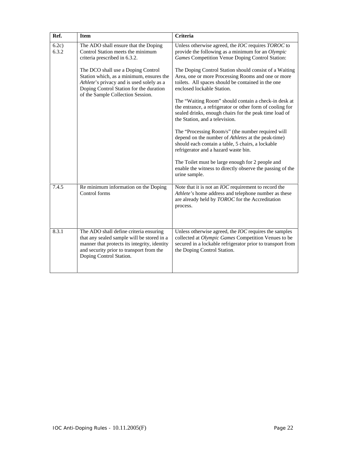| Ref.           | <b>Item</b>                                                                                                                                                                                                 | <b>Criteria</b>                                                                                                                                                                                                  |
|----------------|-------------------------------------------------------------------------------------------------------------------------------------------------------------------------------------------------------------|------------------------------------------------------------------------------------------------------------------------------------------------------------------------------------------------------------------|
| 6.2c)<br>6.3.2 | The ADO shall ensure that the Doping<br>Control Station meets the minimum<br>criteria prescribed in 6.3.2.                                                                                                  | Unless otherwise agreed, the IOC requires TOROC to<br>provide the following as a minimum for an Olympic<br>Games Competition Venue Doping Control Station:                                                       |
|                | The DCO shall use a Doping Control<br>Station which, as a minimum, ensures the<br>Athlete's privacy and is used solely as a<br>Doping Control Station for the duration<br>of the Sample Collection Session. | The Doping Control Station should consist of a Waiting<br>Area, one or more Processing Rooms and one or more<br>toilets. All spaces should be contained in the one<br>enclosed lockable Station.                 |
|                |                                                                                                                                                                                                             | The "Waiting Room" should contain a check-in desk at<br>the entrance, a refrigerator or other form of cooling for<br>sealed drinks, enough chairs for the peak time load of<br>the Station, and a television.    |
|                |                                                                                                                                                                                                             | The "Processing Room/s" (the number required will<br>depend on the number of Athletes at the peak-time)<br>should each contain a table, 5 chairs, a lockable<br>refrigerator and a hazard waste bin.             |
|                |                                                                                                                                                                                                             | The Toilet must be large enough for 2 people and<br>enable the witness to directly observe the passing of the<br>urine sample.                                                                                   |
| 7.4.5          | Re minimum information on the Doping<br>Control forms                                                                                                                                                       | Note that it is not an <i>IOC</i> requirement to record the<br>Athlete's home address and telephone number as these<br>are already held by TOROC for the Accreditation<br>process.                               |
| 8.3.1          | The ADO shall define criteria ensuring<br>that any sealed sample will be stored in a<br>manner that protects its integrity, identity<br>and security prior to transport from the<br>Doping Control Station. | Unless otherwise agreed, the <i>IOC</i> requires the samples<br>collected at Olympic Games Competition Venues to be<br>secured in a lockable refrigerator prior to transport from<br>the Doping Control Station. |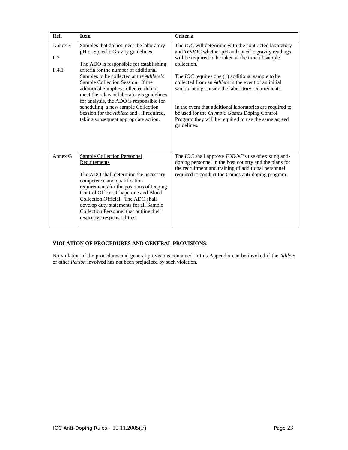| Ref.                                | <b>Item</b>                                                                                                                                                                                                                                                                                                                                                                                                                                                                                                     | <b>Criteria</b>                                                                                                                                                                                                                                                                                                                                                                                                                                                                                                                                            |
|-------------------------------------|-----------------------------------------------------------------------------------------------------------------------------------------------------------------------------------------------------------------------------------------------------------------------------------------------------------------------------------------------------------------------------------------------------------------------------------------------------------------------------------------------------------------|------------------------------------------------------------------------------------------------------------------------------------------------------------------------------------------------------------------------------------------------------------------------------------------------------------------------------------------------------------------------------------------------------------------------------------------------------------------------------------------------------------------------------------------------------------|
| Annex F<br>F <sub>.3</sub><br>F.4.1 | Samples that do not meet the laboratory<br>pH or Specific Gravity guidelines.<br>The ADO is responsible for establishing<br>criteria for the number of additional<br>Samples to be collected at the Athlete's<br>Sample Collection Session. If the<br>additional Sample/s collected do not<br>meet the relevant laboratory's guidelines<br>for analysis, the ADO is responsible for<br>scheduling a new sample Collection<br>Session for the Athlete and, if required,<br>taking subsequent appropriate action. | The <i>IOC</i> will determine with the contracted laboratory<br>and TOROC whether pH and specific gravity readings<br>will be required to be taken at the time of sample<br>collection.<br>The <i>IOC</i> requires one (1) additional sample to be<br>collected from an <i>Athlete</i> in the event of an initial<br>sample being outside the laboratory requirements.<br>In the event that additional laboratories are required to<br>be used for the Olympic Games Doping Control<br>Program they will be required to use the same agreed<br>guidelines. |
| Annex G                             | <b>Sample Collection Personnel</b><br>Requirements<br>The ADO shall determine the necessary<br>competence and qualification<br>requirements for the positions of Doping<br>Control Officer, Chaperone and Blood<br>Collection Official. The ADO shall<br>develop duty statements for all Sample<br>Collection Personnel that outline their<br>respective responsibilities.                                                                                                                                      | The IOC shall approve TOROC's use of existing anti-<br>doping personnel in the host country and the plans for<br>the recruitment and training of additional personnel<br>required to conduct the Games anti-doping program.                                                                                                                                                                                                                                                                                                                                |

# **VIOLATION OF PROCEDURES AND GENERAL PROVISIONS**:

No violation of the procedures and general provisions contained in this Appendix can be invoked if the *Athlete* or other *Person* involved has not been prejudiced by such violation.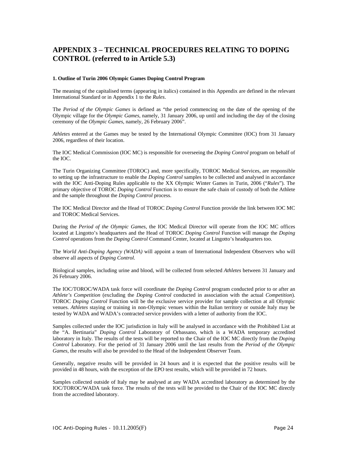# **APPENDIX 3 – TECHNICAL PROCEDURES RELATING TO DOPING CONTROL (referred to in Article 5.3)**

### **1. Outline of Turin 2006 Olympic Games Doping Control Program**

The meaning of the capitalised terms (appearing in italics) contained in this Appendix are defined in the relevant International Standard or in Appendix 1 to the *Rules*.

The *Period of the Olympic Games* is defined as "the period commencing on the date of the opening of the Olympic village for the *Olympic Games*, namely, 31 January 2006, up until and including the day of the closing ceremony of the *Olympic Games*, namely, 26 February 2006".

*Athletes* entered at the Games may be tested by the International Olympic Committee (IOC) from 31 January 2006, regardless of their location.

The IOC Medical Commission (IOC MC) is responsible for overseeing the *Doping Control* program on behalf of the IOC.

The Turin Organizing Committee (TOROC) and, more specifically, TOROC Medical Services, are responsible to setting up the infrastructure to enable the *Doping Control* samples to be collected and analysed in accordance with the IOC Anti-Doping Rules applicable to the XX Olympic Winter Games in Turin, 2006 ("*Rules*"). The primary objective of TOROC *Doping Control* Function is to ensure the safe chain of custody of both the Athlete and the sample throughout the *Doping Control* process.

The IOC Medical Director and the Head of TOROC *Doping Control* Function provide the link between IOC MC and TOROC Medical Services.

During the *Period of the Olympic Games*, the IOC Medical Director will operate from the IOC MC offices located at Lingotto's headquarters and the Head of TOROC *Doping Control* Function will manage the *Doping Control* operations from the *Doping Control* Command Center, located at Lingotto's headquarters too.

The *World Anti-Doping Agency (WADA)* will appoint a team of International Independent Observers who will observe all aspects of *Doping Control*.

Biological samples, including urine and blood, will be collected from selected *Athletes* between 31 January and 26 February 2006.

The IOC/TOROC/WADA task force will coordinate the *Doping Control* program conducted prior to or after an *Athlete's Competition* (excluding the *Doping Control* conducted in association with the actual *Competition*). TOROC *Doping Control* Function will be the exclusive service provider for sample collection at all Olympic venues. *Athletes* staying or training in non-Olympic venues within the Italian territory or outside Italy may be tested by WADA and WADA's contracted service providers with a letter of authority from the IOC.

Samples collected under the IOC jurisdiction in Italy will be analysed in accordance with the Prohibited List at the "A. Bertinaria" *Doping Control* Laboratory of Orbassano, which is a WADA temporary accredited laboratory in Italy. The results of the tests will be reported to the Chair of the IOC MC directly from the *Doping Control* Laboratory. For the period of 31 January 2006 until the last results from the *Period of the Olympic Games*, the results will also be provided to the Head of the Independent Observer Team.

Generally, negative results will be provided in 24 hours and it is expected that the positive results will be provided in 48 hours, with the exception of the EPO test results, which will be provided in 72 hours.

Samples collected outside of Italy may be analysed at any WADA accredited laboratory as determined by the IOC/TOROC/WADA task force. The results of the tests will be provided to the Chair of the IOC MC directly from the accredited laboratory.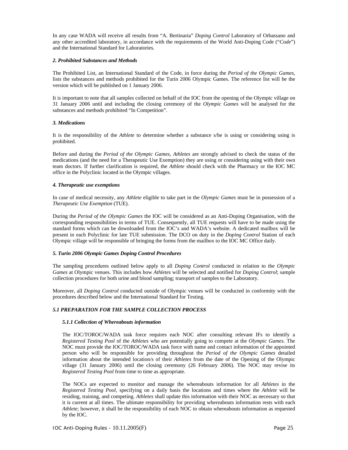In any case WADA will receive all results from "A. Bertinaria" *Doping Control* Laboratory of Orbassano and any other accredited laboratory, in accordance with the requirements of the World Anti-Doping Code ("*Code*") and the International Standard for Laboratories.

### *2. Prohibited Substances and Methods*

The Prohibited List, an International Standard of the Code, in force during the *Period of the Olympic Games*, lists the substances and methods prohibited for the Turin 2006 Olympic Games. The reference list will be the version which will be published on 1 January 2006.

It is important to note that all samples collected on behalf of the IOC from the opening of the Olympic village on 31 January 2006 until and including the closing ceremony of the *Olympic Games* will be analysed for the substances and methods prohibited "In Competition".

#### *3. Medications*

It is the responsibility of the *Athlete* to determine whether a substance s/he is using or considering using is prohibited.

Before and during the *Period of the Olympic Games, Athletes* are strongly advised to check the status of the medications (and the need for a Therapeutic Use Exemption) they are using or considering using with their own team doctors. If further clarification is required, the *Athlete* should check with the Pharmacy or the IOC MC office in the Polyclinic located in the Olympic villages.

#### *4. Therapeutic use exemptions*

In case of medical necessity, any *Athlete* eligible to take part in the *Olympic Games* must be in possession of a *Therapeutic Use Exemption* (TUE).

During the *Period of the Olympic Games* the IOC will be considered as an Anti-Doping Organisation, with the corresponding responsibilities in terms of TUE. Consequently, all TUE requests will have to be made using the standard forms which can be downloaded from the IOC's and WADA's website. A dedicated mailbox will be present in each Polyclinic for late TUE submission. The DCO on duty in the *Doping Control* Station of each Olympic village will be responsible of bringing the forms from the mailbox to the IOC MC Office daily.

### *5. Turin 2006 Olympic Games Doping Control Procedures*

The sampling procedures outlined below apply to all *Doping Control* conducted in relation to the *Olympic Games* at Olympic venues. This includes how *Athletes* will be selected and notified for *Doping Control*; sample collection procedures for both urine and blood sampling; transport of samples to the Laboratory.

Moreover, all *Doping Control* conducted outside of Olympic venues will be conducted in conformity with the procedures described below and the International Standard for Testing.

### *5.1 PREPARATION FOR THE SAMPLE COLLECTION PROCESS*

### *5.1.1 Collection of Whereabouts information*

The IOC/TOROC/WADA task force requires each NOC after consulting relevant IFs to identify a *Registered Testing Pool* of the *Athletes* who are potentially going to compete at the *Olympic Games*. The NOC must provide the IOC/TOROC/WADA task force with name and contact information of the appointed person who will be responsible for providing throughout the *Period of the Olympic Games* detailed information about the intended location/s of their *Athletes* from the date of the Opening of the Olympic village (31 January 2006) until the closing ceremony (26 February 2006). The NOC may revise its *Registered Testing Pool* from time to time as appropriate.

The NOCs are expected to monitor and manage the whereabouts information for all *Athletes* in the *Registered Testing Pool,* specifying on a daily basis the locations and times where the *Athlete* will be residing, training, and competing. *Athletes* shall update this information with their NOC as necessary so that it is current at all times. The ultimate responsibility for providing whereabouts information rests with each *Athlete*; however, it shall be the responsibility of each NOC to obtain whereabouts information as requested by the IOC.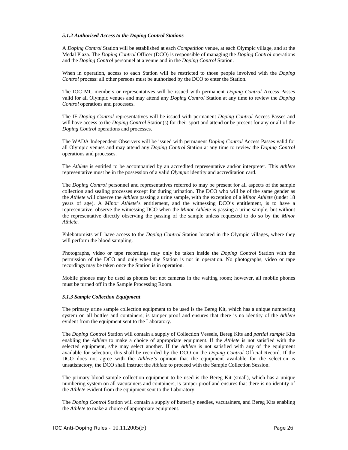### *5.1.2 Authorised Access to the Doping Control Stations*

A *Doping Control* Station will be established at each *Competition* venue, at each Olympic village, and at the Medal Plaza. The *Doping Control* Officer (DCO) is responsible of managing the *Doping Control* operations and the *Doping Control* personnel at a venue and in the *Doping Control* Station.

When in operation, access to each Station will be restricted to those people involved with the *Doping Control* process: all other persons must be authorised by the DCO to enter the Station.

The IOC MC members or representatives will be issued with permanent *Doping Control* Access Passes valid for all Olympic venues and may attend any *Doping Control* Station at any time to review the *Doping Control* operations and processes.

The IF *Doping Control* representatives will be issued with permanent *Doping Control* Access Passes and will have access to the *Doping Control* Station(s) for their sport and attend or be present for any or all of the *Doping Control* operations and processes.

The WADA Independent Observers will be issued with permanent *Doping Control* Access Passes valid for all Olympic venues and may attend any *Doping Control* Station at any time to review the *Doping Control* operations and processes.

The *Athlete* is entitled to be accompanied by an accredited representative and/or interpreter. This *Athlete* representative must be in the possession of a valid *Olympic* identity and accreditation card.

The *Doping Control* personnel and representatives referred to may be present for all aspects of the sample collection and sealing processes except for during urination. The DCO who will be of the same gender as the *Athlete* will observe the *Athlete* passing a urine sample, with the exception of a *Minor Athlete* (under 18 years of age). A *Minor Athlete*'s entitlement, and the witnessing DCO's entitlement, is to have a representative, observe the witnessing DCO when the *Minor Athlete* is passing a urine sample, but without the representative directly observing the passing of the sample unless requested to do so by the *Minor Athlete*.

Phlebotomists will have access to the *Doping Control* Station located in the Olympic villages, where they will perform the blood sampling.

Photographs, video or tape recordings may only be taken inside the *Doping Control* Station with the permission of the DCO and only when the Station is not in operation. No photographs, video or tape recordings may be taken once the Station is in operation.

Mobile phones may be used as phones but not cameras in the waiting room; however, all mobile phones must be turned off in the Sample Processing Room.

#### *5.1.3 Sample Collection Equipment*

The primary urine sample collection equipment to be used is the Bereg Kit, which has a unique numbering system on all bottles and containers; is tamper proof and ensures that there is no identity of the *Athlete* evident from the equipment sent to the Laboratory.

The *Doping Control* Station will contain a supply of Collection Vessels, Bereg Kits and *partial sample* Kits enabling the *Athlete* to make a choice of appropriate equipment. If the *Athlete* is not satisfied with the selected equipment, s/he may select another. If the *Athlete* is not satisfied with any of the equipment available for selection, this shall be recorded by the DCO on the *Doping Control* Official Record. If the DCO does not agree with the *Athlete's* opinion that the equipment available for the selection is unsatisfactory, the DCO shall instruct the *Athlete* to proceed with the Sample Collection Session.

The primary blood sample collection equipment to be used is the Bereg Kit (small), which has a unique numbering system on all vacutainers and containers, is tamper proof and ensures that there is no identity of the *Athlete* evident from the equipment sent to the Laboratory.

The *Doping Control* Station will contain a supply of butterfly needles, vacutainers, and Bereg Kits enabling the *Athlete* to make a choice of appropriate equipment.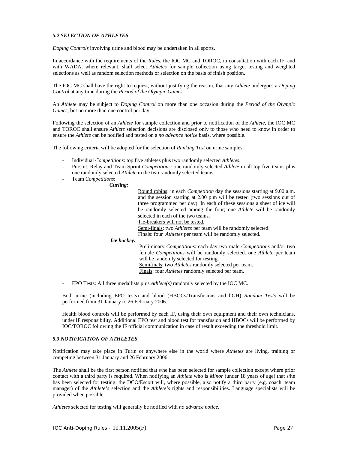### *5.2 SELECTION OF ATHLETES*

*Doping Controls* involving urine and blood may be undertaken in all sports.

In accordance with the requirements of the *Rules*, the IOC MC and TOROC, in consultation with each IF, and with WADA, where relevant, shall select *Athletes* for sample collection using target testing and weighted selections as well as random selection methods or selection on the basis of finish position.

The IOC MC shall have the right to request, without justifying the reason, that any *Athlete* undergoes a *Doping Control* at any time during the *Period of the Olympic Games*.

An *Athlete* may be subject to *Doping Control* on more than one occasion during the *Period of the Olympic Games*, but no more than one control per day.

Following the selection of an *Athlete* for sample collection and prior to notification of the *Athlete*, the IOC MC and TOROC shall ensure *Athlete* selection decisions are disclosed only to those who need to know in order to ensure the *Athlete* can be notified and tested on a *no advance notice* basis, where possible.

The following criteria will be adopted for the selection of *Ranking Test* on urine samples:

- Individual *Competitions*: top five athletes plus two randomly selected *Athletes*.
- Pursuit, Relay and Team Sprint *Competitions*: one randomly selected *Athlete* in all top five teams plus one randomly selected *Athlete* in the two randomly selected teams.
- Team *Competitions*:

### *Curling:*

| Curling:           |                                                                                    |
|--------------------|------------------------------------------------------------------------------------|
|                    | Round robins: in each <i>Competition</i> day the sessions starting at 9.00 a.m.    |
|                    | and the session starting at 2.00 p.m will be tested (two sessions out of           |
|                    | three programmed per day). In each of these sessions a sheet of ice will           |
|                    | be randomly selected among the four; one <i>Athlete</i> will be randomly           |
|                    | selected in each of the two teams.                                                 |
|                    | Tie-breakers will not be tested.                                                   |
|                    | Semi-finals: two <i>Athletes</i> per team will be randomly selected.               |
|                    | Finals: four <i>Athletes</i> per team will be randomly selected.                   |
| <i>Ice hockey:</i> |                                                                                    |
|                    | Preliminary <i>Competitions</i> : each day two male <i>Competitions</i> and/or two |
|                    | female <i>Competitions</i> will be randomly selected, one <i>Athlete</i> per team  |
|                    | will be randomly selected for testing.                                             |
|                    | Semifinals: two <i>Athletes</i> randomly selected per team.                        |

Finals: four *Athletes* randomly selected per team.

- EPO Tests: All three medallists plus *Athlete(s)* randomly selected by the IOC MC.

Both urine (including EPO tests) and blood (HBOCs/Transfusions and hGH) *Random Tests* will be performed from 31 January to 26 February 2006.

Health blood controls will be performed by each IF, using their own equipment and their own technicians, under IF responsibility. Additional EPO test and blood test for transfusion and HBOCs will be performed by IOC/TOROC following the IF official communication in case of result exceeding the threshold limit.

### *5.3 NOTIFICATION OF ATHLETES*

Notification may take place in Turin or anywhere else in the world where *Athletes* are living, training or competing between 31 January and 26 February 2006.

The *Athlete* shall be the first person notified that s/he has been selected for sample collection except where prior contact with a third party is required. When notifying an *Athlete* who is *Minor* (under 18 years of age) that s/he has been selected for testing, the DCO/Escort will, where possible, also notify a third party (e.g. coach, team manager) of the *Athlete's* selection and the *Athlete's* rights and responsibilities. Language specialists will be provided when possible.

*Athletes* selected for testing will generally be notified with *no advance notice*.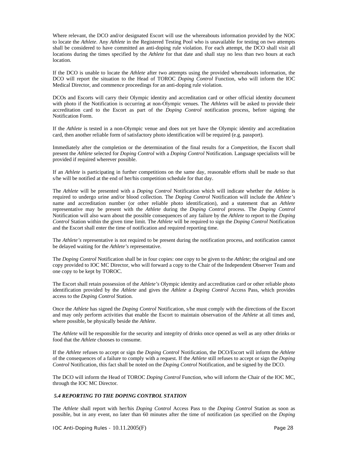Where relevant, the DCO and/or designated Escort will use the whereabouts information provided by the NOC to locate the *Athlete*. Any *Athlete* in the Registered Testing Pool who is unavailable for testing on two attempts shall be considered to have committed an anti-doping rule violation. For each attempt, the DCO shall visit all locations during the times specified by the *Athlete* for that date and shall stay no less than two hours at each location.

If the DCO is unable to locate the *Athlete* after two attempts using the provided whereabouts information, the DCO will report the situation to the Head of TOROC *Doping Control* Function, who will inform the IOC Medical Director, and commence proceedings for an anti-doping rule violation.

DCOs and Escorts will carry their Olympic identity and accreditation card or other official identity document with photo if the Notification is occurring at non-Olympic venues. The *Athletes* will be asked to provide their accreditation card to the Escort as part of the *Doping Control* notification process, before signing the Notification Form.

If the *Athlete* is tested in a non-Olympic venue and does not yet have the Olympic identity and accreditation card, then another reliable form of satisfactory photo identification will be required (e.g. passport).

Immediately after the completion or the determination of the final results for a *Competition*, the Escort shall present the *Athlete* selected for *Doping Control* with a *Doping Control* Notification. Language specialists will be provided if required wherever possible.

If an *Athlete* is participating in further competitions on the same day, reasonable efforts shall be made so that s/he will be notified at the end of her/his competition schedule for that day.

The *Athlete* will be presented with a *Doping Control* Notification which will indicate whether the *Athlete* is required to undergo urine and/or blood collection. The *Doping Control* Notification will include the *Athlete's* name and accreditation number (or other reliable photo identification), and a statement that an *Athlete* representative may be present with the *Athlete* during the *Doping Control* process. The *Doping Control* Notification will also warn about the possible consequences of any failure by the *Athlete* to report to the *Doping Control* Station within the given time limit. The *Athlete* will be required to sign the *Doping Control* Notification and the Escort shall enter the time of notification and required reporting time.

The *Athlete's* representative is not required to be present during the notification process, and notification cannot be delayed waiting for the *Athlete's* representative.

The *Doping Control* Notification shall be in four copies: one copy to be given to the *Athlete*; the original and one copy provided to IOC MC Director, who will forward a copy to the Chair of the Independent Observer Team and one copy to be kept by TOROC.

The Escort shall retain possession of the *Athlete's* Olympic identity and accreditation card or other reliable photo identification provided by the *Athlete* and gives the *Athlete* a *Doping Control* Access Pass, which provides access to the *Doping Control* Station.

Once the *Athlete* has signed the *Doping Control* Notification, s/he must comply with the directions of the Escort and may only perform activities that enable the Escort to maintain observation of the *Athlete* at all times and, where possible, be physically beside the *Athlete*.

The *Athlete* will be responsible for the security and integrity of drinks once opened as well as any other drinks or food that the *Athlete* chooses to consume.

If the *Athlete* refuses to accept or sign the *Doping Control* Notification, the DCO/Escort will inform the *Athlete* of the consequences of a failure to comply with a request. If the *Athlete* still refuses to accept or sign the *Doping Control* Notification, this fact shall be noted on the *Doping Control* Notification, and be signed by the DCO.

The DCO will inform the Head of TOROC *Doping Control* Function, who will inform the Chair of the IOC MC, through the IOC MC Director.

### *5.4 REPORTING TO THE DOPING CONTROL STATION*

The *Athlete* shall report with her/his *Doping Control* Access Pass to the *Doping Control* Station as soon as possible, but in any event, no later than 60 minutes after the time of notification (as specified on the *Doping*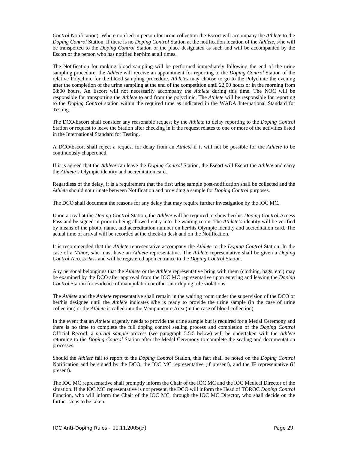*Control* Notification). Where notified in person for urine collection the Escort will accompany the *Athlete* to the *Doping Control* Station. If there is no *Doping Control* Station at the notification location of the *Athlete*, s/he will be transported to the *Doping Control* Station or the place designated as such and will be accompanied by the Escort or the person who has notified her/him at all times.

The Notification for ranking blood sampling will be performed immediately following the end of the urine sampling procedure: the *Athlete* will receive an appointment for reporting to the *Doping Control* Station of the relative Polyclinic for the blood sampling procedure. *Athletes* may choose to go to the Polyclinic the evening after the completion of the urine sampling at the end of the competition until 22,00 hours or in the morning from 08:00 hours. An Escort will not necessarily accompany the *Athlete* during this time. The NOC will be responsible for transporting the *Athlete* to and from the polyclinic. The *Athlete* will be responsible for reporting to the *Doping Control* station within the required time as indicated in the WADA International Standard for Testing.

The DCO/Escort shall consider any reasonable request by the *Athlete* to delay reporting to the *Doping Control* Station or request to leave the Station after checking in if the request relates to one or more of the activities listed in the International Standard for Testing.

A DCO/Escort shall reject a request for delay from an *Athlete* if it will not be possible for the *Athlete* to be continuously chaperoned.

If it is agreed that the *Athlete* can leave the *Doping Control* Station, the Escort will Escort the *Athlete* and carry the *Athlete's* Olympic identity and accreditation card.

Regardless of the delay, it is a requirement that the first urine sample post-notification shall be collected and the *Athlete* should not urinate between Notification and providing a sample for *Doping Control* purposes.

The DCO shall document the reasons for any delay that may require further investigation by the IOC MC.

Upon arrival at the *Doping Control* Station, the *Athlete* will be required to show her/his *Doping Control* Access Pass and be signed in prior to being allowed entry into the waiting room. The *Athlete's* identity will be verified by means of the photo, name, and accreditation number on her/his Olympic identity and accreditation card. The actual time of arrival will be recorded at the check-in desk and on the Notification.

It is recommended that the *Athlete* representative accompany the *Athlete* to the *Doping Control* Station. In the case of a *Minor*, s/he must have an *Athlete* representative. The *Athlete* representative shall be given a *Doping Control* Access Pass and will be registered upon entrance to the *Doping Control* Station.

Any personal belongings that the *Athlete* or the *Athlete* representative bring with them (clothing, bags, etc.) may be examined by the DCO after approval from the IOC MC representative upon entering and leaving the *Doping Control* Station for evidence of manipulation or other anti-doping rule violations.

The *Athlete* and the *Athlete* representative shall remain in the waiting room under the supervision of the DCO or her/his designee until the *Athlete* indicates s/he is ready to provide the urine sample (in the case of urine collection) or the *Athlete* is called into the Venipuncture Area (in the case of blood collection).

In the event that an *Athlete* urgently needs to provide the urine sample but is required for a Medal Ceremony and there is no time to complete the full doping control sealing process and completion of the *Doping Control* Official Record, a *partial sample* process (see paragraph 5.5.5 below) will be undertaken with the *Athlete* returning to the *Doping Control* Station after the Medal Ceremony to complete the sealing and documentation processes.

Should the *Athlete* fail to report to the *Doping Control* Station, this fact shall be noted on the *Doping Control* Notification and be signed by the DCO, the IOC MC representative (if present), and the IF representative (if present).

The IOC MC representative shall promptly inform the Chair of the IOC MC and the IOC Medical Director of the situation. If the IOC MC representative is not present, the DCO will inform the Head of TOROC *Doping Control* Function, who will inform the Chair of the IOC MC, through the IOC MC Director, who shall decide on the further steps to be taken.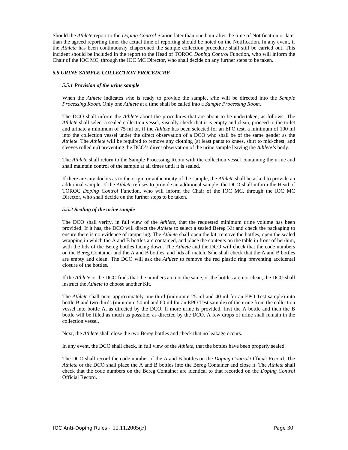Should the *Athlete* report to the *Doping Control* Station later than one hour after the time of Notification or later than the agreed reporting time, the actual time of reporting should be noted on the Notification. In any event, if the *Athlete* has been continuously chaperoned the sample collection procedure shall still be carried out. This incident should be included in the report to the Head of TOROC *Doping Control* Function, who will inform the Chair of the IOC MC, through the IOC MC Director, who shall decide on any further steps to be taken.

### *5.5 URINE SAMPLE COLLECTION PROCEDURE*

### *5.5.1 Provision of the urine sample*

When the *Athlete* indicates s/he is ready to provide the sample, s/he will be directed into the *Sample Processing Room*. Only one *Athlete* at a time shall be called into a *Sample Processing Room*.

The DCO shall inform the *Athlete* about the procedures that are about to be undertaken, as follows. The *Athlete* shall select a sealed collection vessel, visually check that it is empty and clean, proceed to the toilet and urinate a minimum of 75 ml or, if the *Athlete* has been selected for an EPO test, a minimum of 100 ml into the collection vessel under the direct observation of a DCO who shall be of the same gender as the *Athlete*. The *Athlete* will be required to remove any clothing (at least pants to knees, shirt to mid-chest, and sleeves rolled up) preventing the DCO's direct observation of the urine sample leaving the *Athlete's* body.

The *Athlete* shall return to the Sample Processing Room with the collection vessel containing the urine and shall maintain control of the sample at all times until it is sealed.

If there are any doubts as to the origin or authenticity of the sample, the *Athlete* shall be asked to provide an additional sample. If the *Athlete* refuses to provide an additional sample, the DCO shall inform the Head of TOROC *Doping Control* Function, who will inform the Chair of the IOC MC, through the IOC MC Director, who shall decide on the further steps to be taken.

### *5.5.2 Sealing of the urine sample*

The DCO shall verify, in full view of the *Athlete*, that the requested minimum urine volume has been provided. If it has, the DCO will direct the *Athlete* to select a sealed Bereg Kit and check the packaging to ensure there is no evidence of tampering. The *Athlete* shall open the kit, remove the bottles, open the sealed wrapping in which the A and B bottles are contained, and place the contents on the table in front of her/him, with the lids of the Bereg bottles facing down. The *Athlete* and the DCO will check that the code numbers on the Bereg Container and the A and B bottles, and lids all match. S/he shall check that the A and B bottles are empty and clean. The DCO will ask the *Athlete* to remove the red plastic ring preventing accidental closure of the bottles.

If the *Athlete* or the DCO finds that the numbers are not the same, or the bottles are nor clean, the DCO shall instruct the *Athlete* to choose another Kit.

The *Athlete* shall pour approximately one third (minimum 25 ml and 40 ml for an EPO Test sample) into bottle B and two thirds (minimum 50 ml and 60 ml for an EPO Test sample) of the urine from the collection vessel into bottle A, as directed by the DCO. If more urine is provided, first the A bottle and then the B bottle will be filled as much as possible, as directed by the DCO. A few drops of urine shall remain in the collection vessel.

Next, the *Athlete* shall close the two Bereg bottles and check that no leakage occurs.

In any event, the DCO shall check, in full view of the *Athlete*, that the bottles have been properly sealed.

The DCO shall record the code number of the A and B bottles on the *Doping Control* Official Record. The *Athlete* or the DCO shall place the A and B bottles into the Bereg Container and close it. The *Athlete* shall check that the code numbers on the Bereg Container are identical to that recorded on the *Doping Control* Official Record.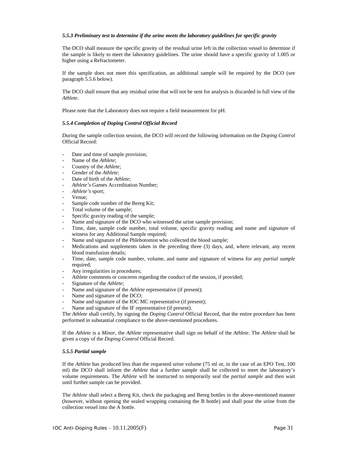### *5.5.3 Preliminary test to determine if the urine meets the laboratory guidelines for specific gravity*

The DCO shall measure the specific gravity of the residual urine left in the collection vessel to determine if the sample is likely to meet the laboratory guidelines. The urine should have a specific gravity of 1.005 or higher using a Refractometer.

If the sample does not meet this specification, an additional sample will be required by the DCO (see paragraph 5.5.6 below).

The DCO shall ensure that any residual urine that will not be sent for analysis is discarded in full view of the *Athlete*.

Please note that the Laboratory does not require a field measurement for pH.

#### *5.5.4 Completion of Doping Control Official Record*

During the sample collection session, the DCO will record the following information on the *Doping Control* Official Record:

- Date and time of sample provision;
- Name of the *Athlete*;
- Country of the *Athlete*;
- Gender of the *Athlete*;
- Date of birth of the *Athlete*:
- *Athlete's* Games Accreditation Number;
- *Athlete's* sport;
- Venue;
- Sample code number of the Bereg Kit;
- Total volume of the sample;
- Specific gravity reading of the sample;
- Name and signature of the DCO who witnessed the urine sample provision;
- Time, date, sample code number, total volume, specific gravity reading and name and signature of witness for any Additional Sample required;
- Name and signature of the Phlebotomist who collected the blood sample;
- Medications and supplements taken in the preceding three (3) days, and, where relevant, any recent blood transfusion details;
- Time, date, sample code number, volume, and name and signature of witness for any *partial sample* required;
- Any irregularities in procedures;
- Athlete comments or concerns regarding the conduct of the session, if provided;
- Signature of the *Athlete*;
- Name and signature of the *Athlete* representative (if present);
- Name and signature of the DCO:
- Name and signature of the IOC MC representative (if present);
- Name and signature of the IF representative (if present).

The *Athlete* shall certify, by signing the *Doping Control* Official Record, that the entire procedure has been performed in substantial compliance to the above-mentioned procedures.

If the *Athlete* is a *Minor*, the *Athlete* representative shall sign on behalf of the *Athlete*. The *Athlete* shall be given a copy of the *Doping Control* Official Record.

#### *5.5.5 Partial sample*

If the *Athlete* has produced less than the requested urine volume (75 ml or, in the case of an EPO Test, 100 ml) the DCO shall inform the *Athlete* that a further sample shall be collected to meet the laboratory's volume requirements. The *Athlete* will be instructed to temporarily seal the *partial sample* and then wait until further sample can be provided.

The *Athlete* shall select a Bereg Kit, check the packaging and Bereg bottles in the above-mentioned manner (however, without opening the sealed wrapping containing the B bottle) and shall pour the urine from the collection vessel into the A bottle.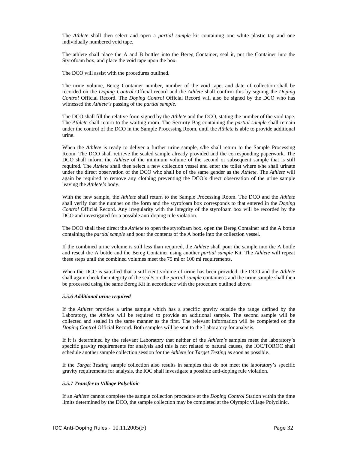The *Athlete* shall then select and open a *partial sample* kit containing one white plastic tap and one individually numbered void tape.

The athlete shall place the A and B bottles into the Bereg Container, seal it, put the Container into the Styrofoam box, and place the void tape upon the box.

The DCO will assist with the procedures outlined.

The urine volume, Bereg Container number, number of the void tape, and date of collection shall be recorded on the *Doping Control* Official record and the *Athlete* shall confirm this by signing the *Doping Control* Official Record. The *Doping Control* Official Record will also be signed by the DCO who has witnessed the *Athlete's* passing of the *partial sample*.

The DCO shall fill the relative form signed by the *Athlete* and the DCO, stating the number of the void tape. The *Athlete* shall return to the waiting room. The Security Bag containing the *partial sample* shall remain under the control of the DCO in the Sample Processing Room, until the *Athlete* is able to provide additional urine.

When the *Athlete* is ready to deliver a further urine sample, s/he shall return to the Sample Processing Room. The DCO shall retrieve the sealed sample already provided and the corresponding paperwork. The DCO shall inform the *Athlete* of the minimum volume of the second or subsequent sample that is still required. The *Athlete* shall then select a new collection vessel and enter the toilet where s/he shall urinate under the direct observation of the DCO who shall be of the same gender as the *Athlete*. The *Athlete* will again be required to remove any clothing preventing the DCO's direct observation of the urine sample leaving the *Athlete's* body.

With the new sample, the *Athlete* shall return to the Sample Processing Room. The DCO and the *Athlete* shall verify that the number on the form and the styrofoam box corresponds to that entered in the *Doping Control* Official Record. Any irregularity with the integrity of the styrofoam box will be recorded by the DCO and investigated for a possible anti-doping rule violation.

The DCO shall then direct the *Athlete* to open the styrofoam box, open the Bereg Container and the A bottle containing the *partial sample* and pour the contents of the A bottle into the collection vessel.

If the combined urine volume is still less than required, the *Athlete* shall pour the sample into the A bottle and reseal the A bottle and the Bereg Container using another *partial sample* Kit. The *Athlete* will repeat these steps until the combined volumes meet the 75 ml or 100 ml requirements.

When the DCO is satisfied that a sufficient volume of urine has been provided, the DCO and the *Athlete* shall again check the integrity of the seal/s on the *partial sample* container/s and the urine sample shall then be processed using the same Bereg Kit in accordance with the procedure outlined above.

#### *5.5.6 Additional urine required*

If the *Athlete* provides a urine sample which has a specific gravity outside the range defined by the Laboratory, the *Athlete* will be required to provide an additional sample. The second sample will be collected and sealed in the same manner as the first. The relevant information will be completed on the *Doping Control* Official Record. Both samples will be sent to the Laboratory for analysis.

If it is determined by the relevant Laboratory that neither of the *Athlete's* samples meet the laboratory's specific gravity requirements for analysis and this is not related to natural causes, the IOC/TOROC shall schedule another sample collection session for the *Athlete* for *Target Testing* as soon as possible.

If the *Target Testing* sample collection also results in samples that do not meet the laboratory's specific gravity requirements for analysis, the IOC shall investigate a possible anti-doping rule violation.

#### *5.5.7 Transfer to Village Polyclinic*

If an *Athlete* cannot complete the sample collection procedure at the *Doping Control* Station within the time limits determined by the DCO, the sample collection may be completed at the Olympic village Polyclinic.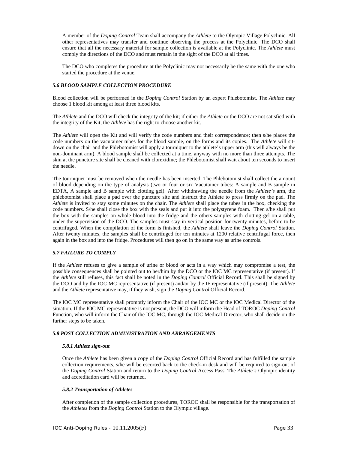A member of the *Doping Control* Team shall accompany the *Athlete* to the Olympic Village Polyclinic. All other representatives may transfer and continue observing the process at the Polyclinic. The DCO shall ensure that all the necessary material for sample collection is available at the Polyclinic. The *Athlete* must comply the directions of the DCO and must remain in the sight of the DCO at all times.

The DCO who completes the procedure at the Polyclinic may not necessarily be the same with the one who started the procedure at the venue.

### *5.6 BLOOD SAMPLE COLLECTION PROCEDURE*

Blood collection will be performed in the *Doping Control* Station by an expert Phlebotomist. The *Athlete* may choose 1 blood kit among at least three blood kits.

The *Athlete* and the DCO will check the integrity of the kit; if either the *Athlete* or the DCO are not satisfied with the integrity of the Kit, the *Athlete* has the right to choose another kit.

The *Athlete* will open the Kit and will verify the code numbers and their correspondence; then s/he places the code numbers on the vacutainer tubes for the blood sample, on the forms and its copies. The *Athlete* will sitdown on the chair and the Phlebotomist will apply a tourniquet to the athlete's upper arm (this will always be the non-dominant arm). A blood sample shall be collected at a time, anyway with no more than three attempts. The skin at the puncture site shall be cleaned with clorexidine; the Phlebotomist shall wait about ten seconds to insert the needle.

The tourniquet must be removed when the needle has been inserted. The Phlebotomist shall collect the amount of blood depending on the type of analysis (two or four or six Vacutainer tubes: A sample and B sample in EDTA, A sample and B sample with clotting gel). After withdrawing the needle from the *Athlete's* arm, the phlebotomist shall place a pad over the puncture site and instruct the Athlete to press firmly on the pad. The *Athlete* is invited to stay some minutes on the chair. The *Athlete* shall place the tubes in the box, checking the code numbers. S/he shall close the box with the seals and put it into the polystyrene foam. Then s/he shall put the box with the samples on whole blood into the fridge and the others samples with clotting gel on a table, under the supervision of the DCO. The samples must stay in vertical position for twenty minutes, before to be centrifuged. When the compilation of the form is finished, the *Athlete* shall leave the *Doping Control* Station. After twenty minutes, the samples shall be centrifuged for ten minutes at 1200 relative centrifugal force, then again in the box and into the fridge. Procedures will then go on in the same way as urine controls.

### *5.7 FAILURE TO COMPLY*

If the *Athlete* refuses to give a sample of urine or blood or acts in a way which may compromise a test, the possible consequences shall be pointed out to her/him by the DCO or the IOC MC representative (if present). If the *Athlete* still refuses, this fact shall be noted in the *Doping Control* Official Record. This shall be signed by the DCO and by the IOC MC representative (if present) and/or by the IF representative (if present). The *Athlete* and the *Athlete* representative may, if they wish, sign the *Doping Control* Official Record.

The IOC MC representative shall promptly inform the Chair of the IOC MC or the IOC Medical Director of the situation. If the IOC MC representative is not present, the DCO will inform the Head of TOROC *Doping Control* Function, who will inform the Chair of the IOC MC, through the IOC Medical Director, who shall decide on the further steps to be taken.

### *5.8 POST COLLECTION ADMINISTRATION AND ARRANGEMENTS*

### *5.8.1 Athlete sign-out*

Once the *Athlete* has been given a copy of the *Doping Control* Official Record and has fulfilled the sample collection requirements, s/he will be escorted back to the check-in desk and will be required to sign-out of the *Doping Control* Station and return to the *Doping Control* Access Pass. The *Athlete's* Olympic identity and accreditation card will be returned.

### *5.8.2 Transportation of Athletes*

After completion of the sample collection procedures, TOROC shall be responsible for the transportation of the *Athletes* from the *Doping Control* Station to the Olympic village.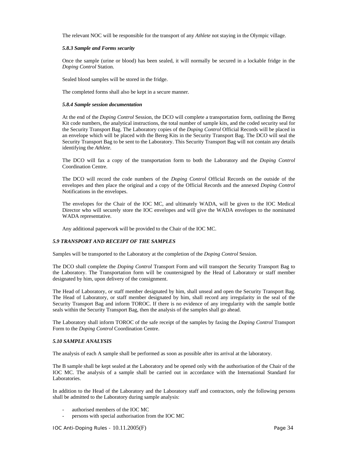The relevant NOC will be responsible for the transport of any *Athlete* not staying in the Olympic village.

#### *5.8.3 Sample and Forms security*

Once the sample (urine or blood) has been sealed, it will normally be secured in a lockable fridge in the *Doping Control* Station.

Sealed blood samples will be stored in the fridge.

The completed forms shall also be kept in a secure manner.

#### *5.8.4 Sample session documentation*

At the end of the *Doping Control* Session, the DCO will complete a transportation form, outlining the Bereg Kit code numbers, the analytical instructions, the total number of sample kits, and the coded security seal for the Security Transport Bag. The Laboratory copies of the *Doping Control* Official Records will be placed in an envelope which will be placed with the Bereg Kits in the Security Transport Bag. The DCO will seal the Security Transport Bag to be sent to the Laboratory. This Security Transport Bag will not contain any details identifying the *Athlete*.

The DCO will fax a copy of the transportation form to both the Laboratory and the *Doping Control* Coordination Centre.

The DCO will record the code numbers of the *Doping Control* Official Records on the outside of the envelopes and then place the original and a copy of the Official Records and the annexed *Doping Control* Notifications in the envelopes.

The envelopes for the Chair of the IOC MC, and ultimately WADA, will be given to the IOC Medical Director who will securely store the IOC envelopes and will give the WADA envelopes to the nominated WADA representative.

Any additional paperwork will be provided to the Chair of the IOC MC.

### *5.9 TRANSPORT AND RECEIPT OF THE SAMPLES*

Samples will be transported to the Laboratory at the completion of the *Doping Control* Session.

The DCO shall complete the *Doping Control* Transport Form and will transport the Security Transport Bag to the Laboratory. The Transportation form will be countersigned by the Head of Laboratory or staff member designated by him, upon delivery of the consignment.

The Head of Laboratory, or staff member designated by him, shall unseal and open the Security Transport Bag. The Head of Laboratory, or staff member designated by him, shall record any irregularity in the seal of the Security Transport Bag and inform TOROC. If there is no evidence of any irregularity with the sample bottle seals within the Security Transport Bag, then the analysis of the samples shall go ahead.

The Laboratory shall inform TOROC of the safe receipt of the samples by faxing the *Doping Control* Transport Form to the *Doping Control* Coordination Centre.

### *5.10 SAMPLE ANALYSIS*

The analysis of each A sample shall be performed as soon as possible after its arrival at the laboratory.

The B sample shall be kept sealed at the Laboratory and be opened only with the authorisation of the Chair of the IOC MC. The analysis of a sample shall be carried out in accordance with the International Standard for Laboratories.

In addition to the Head of the Laboratory and the Laboratory staff and contractors, only the following persons shall be admitted to the Laboratory during sample analysis:

- authorised members of the IOC MC
- persons with special authorisation from the IOC MC